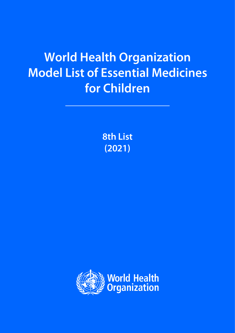# **World Health Organization Model List of Essential Medicines** for Children

**8th List**  $(2021)$ 

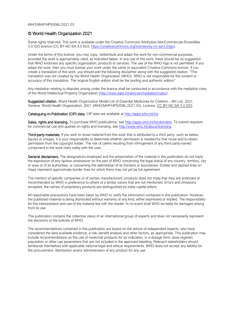#### WHO/MHP/HPS/EML/2021.03

#### © World Health Organization 2021

Some rights reserved. This work is available under the Creative Commons Attribution-NonCommercial-ShareAlike 3.0 IGO licence (CC BY-NC-SA 3.0 IGO; [https://creativecommons.org/licenses/by-nc-sa/3.0/igo\)](https://creativecommons.org/licenses/by-nc-sa/3.0/igo).

Under the terms of this licence, you may copy, redistribute and adapt the work for non-commercial purposes, provided the work is appropriately cited, as indicated below. In any use of this work, there should be no suggestion that WHO endorses any specific organization, products or services. The use of the WHO logo is not permitted. If you adapt the work, then you must license your work under the same or equivalent Creative Commons licence. If you create a translation of this work, you should add the following disclaimer along with the suggested citation: *"*This translation was not created by the World Health Organization (WHO). WHO is not responsible for the content or accuracy of this translation. The original English edition shall be the binding and authentic edition".

Any mediation relating to disputes arising under the licence shall be conducted in accordance with the mediation rules of the World Intellectual Property Organization [\(http://www.wipo.int/amc/en/mediation/rules/\)](http://www.wipo.int/amc/en/mediation/rules/).

Suggested citation. World Health Organization Model List of Essential Medicines for Children – 8th List, 2021. Geneva: World Health Organization; 2021 (WHO/MHP/HPS/EML/2021.03). Licence: CC [BY-NC-SA](https://creativecommons.org/licenses/by-nc-sa/3.0/igo/) 3.0 IGO.

Cataloguing-in-Publication (CIP) data. CIP data are available a[t http://apps.who.int/iris.](http://apps.who.int/iris/)

Sales, rights and licensing. To purchase WHO publications, see [http://apps.who.int/bookorders.](http://apps.who.int/bookorders) To submit requests for commercial use and queries on rights and licensing, se[e http://www.who.int/about/licensing.](http://www.who.int/about/licensing)

Third-party materials. If you wish to reuse material from this work that is attributed to a third party, such as tables, figures or images, it is your responsibility to determine whether permission is needed for that reuse and to obtain permission from the copyright holder. The risk of claims resulting from infringement of any third-party-owned component in the work rests solely with the user.

General disclaimers. The designations employed and the presentation of the material in this publication do not imply the expression of any opinion whatsoever on the part of WHO concerning the legal status of any country, territory, city or area or of its authorities, or concerning the delimitation of its frontiers or boundaries. Dotted and dashed lines on maps represent approximate border lines for which there may not yet be full agreement.

The mention of specific companies or of certain manufacturers' products does not imply that they are endorsed or recommended by WHO in preference to others of a similar nature that are not mentioned. Errors and omissions excepted, the names of proprietary products are distinguished by initial capital letters.

All reasonable precautions have been taken by WHO to verify the information contained in this publication. However, the published material is being distributed without warranty of any kind, either expressed or implied. The responsibility for the interpretation and use of the material lies with the reader. In no event shall WHO be liable for damages arising from its use.

This publication contains the collective views of an international group of experts and does not necessarily represent the decisions or the policies of WHO.

The recommendations contained in this publication are based on the advice of independent experts, who have considered the best available evidence, a risk–benefit analysis and other factors, as appropriate. This publication may include recommendations on the use of medicinal products for an indication, in a dosage form, dose regimen, population or other use parameters that are not included in the approved labelling. Relevant stakeholders should familiarize themselves with applicable national legal and ethical requirements. WHO does not accept any liability for the procurement, distribution and/or administration of any product for any use.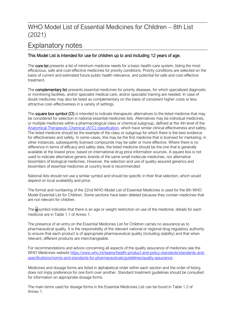#### Explanatory notes

#### This Model List is intended for use for children up to and including 12 years of age.

The core list presents a list of minimum medicine needs for a basic health-care system, listing the most efficacious, safe and cost-effective medicines for priority conditions. Priority conditions are selected on the basis of current and estimated future public health relevance, and potential for safe and cost-effective treatment.

The **complementary list** presents essential medicines for priority diseases, for which specialized diagnostic or monitoring facilities, and/or specialist medical care, and/or specialist training are needed. In case of doubt medicines may also be listed as complementary on the basis of consistent higher costs or less attractive cost–effectiveness in a variety of settings.

The square box symbol  $(D)$  is intended to indicate therapeutic alternatives to the listed medicine that may be considered for selection in national essential medicines lists. Alternatives may be individual medicines, or multiple medicines within a pharmacological class or chemical subgroup, defined at the 4th level of the [Anatomical Therapeutic Chemical \(ATC\) classification,](https://www.whocc.no/atc_ddd_index/) which have similar clinical effectiveness and safety. The listed medicine should be the example of the class or subgroup for which there is the best evidence for effectiveness and safety. In some cases, this may be the first medicine that is licensed for marketing; in other instances, subsequently licensed compounds may be safer or more effective. Where there is no difference in terms of efficacy and safety data, the listed medicine should be the one that is generally available at the lowest price, based on international drug price information sources. A square box is not used to indicate alternative generic brands of the same small molecule medicines, nor alternative biosimilars of biological medicines. However, the selection and use of quality-assured generics and biosimilars of essential medicines at country level is recommended.

National lists should not use a similar symbol and should be specific in their final selection, which would depend on local availability and price.

The format and numbering of the 22nd WHO Model List of Essential Medicines is used for the 8th WHO Model Essential List for Children. Some sections have been deleted because they contain medicines that are not relevant for children.

The a symbol indicates that there is an age or weight restriction on use of the medicine; details for each medicine are in Table 1.1 of Annex 1.

The presence of an entry on the Essential Medicines List for Children carries no assurance as to pharmaceutical quality. It is the responsibility of the relevant national or regional drug regulatory authority to ensure that each product is of appropriate pharmaceutical quality (including stability) and that when relevant, different products are interchangeable.

For recommendations and advice concerning all aspects of the quality assurance of medicines see the WHO Medicines website [https://www.who.int/teams/health-product-and-policy-standards/standards-and](https://www.who.int/teams/health-product-and-policy-standards/standards-and-specifications/norms-and-standards-for-pharmaceuticals/guidelines/quality-assurance)[specifications/norms-and-standards-for-pharmaceuticals/guidelines/quality-assurance](https://www.who.int/teams/health-product-and-policy-standards/standards-and-specifications/norms-and-standards-for-pharmaceuticals/guidelines/quality-assurance).

Medicines and dosage forms are listed in alphabetical order within each section and the order of listing does not imply preference for one form over another. Standard treatment guidelines should be consulted for information on appropriate dosage forms.

The main terms used for dosage forms in the Essential Medicines List can be found in Table 1.2 of Annex 1.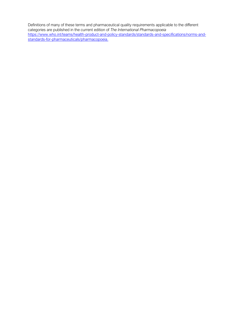Definitions of many of these terms and pharmaceutical quality requirements applicable to the different categories are published in the current edition of *The International Pharmacopoeia* [https://www.who.int/teams/health-product-and-policy-standards/standards-and-specifications/norms-and](https://www.who.int/teams/health-product-and-policy-standards/standards-and-specifications/norms-and-standards-for-pharmaceuticals/pharmacopoeia)[standards-for-pharmaceuticals/pharmacopoeia.](https://www.who.int/teams/health-product-and-policy-standards/standards-and-specifications/norms-and-standards-for-pharmaceuticals/pharmacopoeia)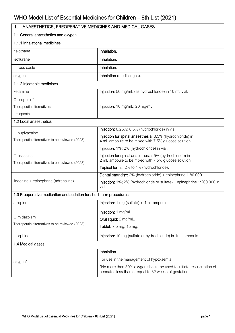| ANAESTHETICS, PREOPERATIVE MEDICINES AND MEDICAL GASES<br>1.            |                                                                                                                               |  |
|-------------------------------------------------------------------------|-------------------------------------------------------------------------------------------------------------------------------|--|
| 1.1 General anaesthetics and oxygen                                     |                                                                                                                               |  |
| 1.1.1 Inhalational medicines                                            |                                                                                                                               |  |
| halothane                                                               | Inhalation.                                                                                                                   |  |
| isoflurane                                                              | Inhalation.                                                                                                                   |  |
| nitrous oxide                                                           | Inhalation.                                                                                                                   |  |
| oxygen                                                                  | Inhalation (medical gas).                                                                                                     |  |
| 1.1.2 Injectable medicines                                              |                                                                                                                               |  |
| ketamine                                                                | Injection: 50 mg/mL (as hydrochloride) in 10 mL vial.                                                                         |  |
| $\square$ propofol $*$                                                  |                                                                                                                               |  |
| Therapeutic alternatives:                                               | Injection: 10 mg/mL; 20 mg/mL.                                                                                                |  |
| - thiopental                                                            |                                                                                                                               |  |
| 1.2 Local anaesthetics                                                  |                                                                                                                               |  |
|                                                                         | Injection: 0.25%; 0.5% (hydrochloride) in vial.                                                                               |  |
| $\square$ bupivacaine<br>Therapeutic alternatives to be reviewed (2023) | Injection for spinal anaesthesia: 0.5% (hydrochloride) in<br>4 mL ampoule to be mixed with 7.5% glucose solution.             |  |
|                                                                         | Injection: 1%; 2% (hydrochloride) in vial.                                                                                    |  |
| $\Box$ lidocaine<br>Therapeutic alternatives to be reviewed (2023)      | Injection for spinal anaesthesia: 5% (hydrochloride) in<br>2 mL ampoule to be mixed with 7.5% glucose solution.               |  |
|                                                                         | Topical forms: 2% to 4% (hydrochloride).                                                                                      |  |
|                                                                         | Dental cartridge: 2% (hydrochloride) + epinephrine 1:80 000.                                                                  |  |
| lidocaine + epinephrine (adrenaline)                                    | Injection: 1%; 2% (hydrochloride or sulfate) + epinephrine 1:200 000 in<br>vial.                                              |  |
| 1.3 Preoperative medication and sedation for short-term procedures      |                                                                                                                               |  |
| atropine                                                                | Injection: 1 mg (sulfate) in 1mL ampoule.                                                                                     |  |
|                                                                         | Injection: 1 mg/mL.                                                                                                           |  |
| $\square$ midazolam                                                     | Oral liquid: 2 mg/mL.                                                                                                         |  |
| Therapeutic alternatives to be reviewed (2023)                          | Tablet: 7.5 mg; 15 mg.                                                                                                        |  |
| morphine                                                                | Injection: 10 mg (sulfate or hydrochloride) in 1mL ampoule.                                                                   |  |
| 1.4 Medical gases                                                       |                                                                                                                               |  |
|                                                                         | Inhalation                                                                                                                    |  |
| oxygen*                                                                 | For use in the management of hypoxaemia.                                                                                      |  |
|                                                                         | *No more than 30% oxygen should be used to initiate resuscitation of<br>neonates less than or equal to 32 weeks of gestation. |  |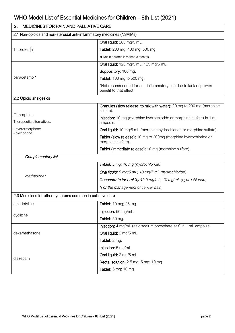| <b>MEDICINES FOR PAIN AND PALLIATIVE CARE</b><br>2.                    |                                                                                             |  |
|------------------------------------------------------------------------|---------------------------------------------------------------------------------------------|--|
| 2.1 Non-opioids and non-steroidal anti-inflammatory medicines (NSAIMs) |                                                                                             |  |
| ibuprofen a                                                            | Oral liquid: 200 mg/5 mL.                                                                   |  |
|                                                                        | Tablet: 200 mg; 400 mg; 600 mg.                                                             |  |
|                                                                        | a Not in children less than 3 months.                                                       |  |
|                                                                        | Oral liquid: 120 mg/5 mL; 125 mg/5 mL.                                                      |  |
|                                                                        | Suppository: 100 mg.                                                                        |  |
| paracetamol*                                                           | Tablet: 100 mg to 500 mg.                                                                   |  |
|                                                                        | *Not recommended for anti-inflammatory use due to lack of proven<br>benefit to that effect. |  |
| 2.2 Opioid analgesics                                                  |                                                                                             |  |
|                                                                        | Granules (slow release; to mix with water): 20 mg to 200 mg (morphine<br>sulfate).          |  |
| $\square$ morphine<br>Therapeutic alternatives:                        | Injection: 10 mg (morphine hydrochloride or morphine sulfate) in 1 mL<br>ampoule.           |  |
| - hydrormorphone<br>- oxycodone                                        | Oral liquid: 10 mg/5 mL (morphine hydrochloride or morphine sulfate).                       |  |
|                                                                        | Tablet (slow release): 10 mg to 200mg (morphine hydrochloride or<br>morphine sulfate).      |  |
|                                                                        | Tablet (immediate release): 10 mg (morphine sulfate).                                       |  |
| Complementary list                                                     |                                                                                             |  |
|                                                                        | Tablet: 5 mg; 10 mg (hydrochloride).                                                        |  |
| methadone*                                                             | Oral liquid: 5 mg/5 mL; 10 mg/5 mL (hydrochloride).                                         |  |
|                                                                        | Concentrate for oral liquid: 5 mg/mL; 10 mg/mL (hydrochloride)                              |  |
|                                                                        | *For the management of cancer pain.                                                         |  |
| 2.3 Medicines for other symptoms common in palliative care             |                                                                                             |  |
| amitriptyline                                                          | Tablet: 10 mg; 25 mg.                                                                       |  |
|                                                                        | Injection: 50 mg/mL.                                                                        |  |
| cyclizine                                                              | Tablet: 50 mg.                                                                              |  |
|                                                                        | Injection: 4 mg/mL (as disodium phosphate salt) in 1 mL ampoule.                            |  |
| dexamethasone                                                          | Oral liquid: 2 mg/5 mL.                                                                     |  |
|                                                                        | Tablet: 2 mg.                                                                               |  |
|                                                                        | Injection: 5 mg/mL.                                                                         |  |
| diazepam                                                               | Oral liquid: 2 mg/5 mL.                                                                     |  |
|                                                                        | Rectal solution: 2.5 mg; 5 mg; 10 mg.                                                       |  |
|                                                                        | Tablet: 5 mg; 10 mg.                                                                        |  |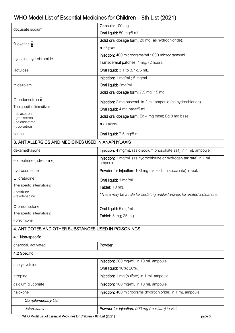| docusate sodium                                      | Capsule: 100 mg.                                                               |  |  |
|------------------------------------------------------|--------------------------------------------------------------------------------|--|--|
|                                                      | Oral liquid: 50 mg/5 mL.                                                       |  |  |
| fluoxetine a                                         | Solid oral dosage form: 20 mg (as hydrochloride).                              |  |  |
|                                                      | $a > 8$ years.                                                                 |  |  |
| hyoscine hydrobromide                                | Injection: 400 micrograms/mL; 600 micrograms/mL.                               |  |  |
|                                                      | Transdermal patches: 1 mg/72 hours.                                            |  |  |
| lactulose                                            | Oral liquid: 3.1 to 3.7 g/5 mL.                                                |  |  |
|                                                      | Injection: 1 mg/mL; 5 mg/mL.                                                   |  |  |
| midazolam                                            | Oral liquid: 2mg/mL.                                                           |  |  |
|                                                      | Solid oral dosage form: 7.5 mg; 15 mg.                                         |  |  |
| $\Box$ ondansetron a                                 | Injection: 2 mg base/mL in 2 mL ampoule (as hydrochloride).                    |  |  |
| Therapeutic alternatives                             | Oral liquid: 4 mg base/5 mL.                                                   |  |  |
| - dolasetron<br>- granisetron                        | Solid oral dosage form: Eq 4 mg base; Eq 8 mg base.                            |  |  |
| - palonosetron                                       | $ a  > 1$ month.                                                               |  |  |
| - tropisetron                                        | Oral liquid: 7.5 mg/5 mL.                                                      |  |  |
| senna                                                |                                                                                |  |  |
| 3. ANTIALLERGICS AND MEDICINES USED IN ANAPHYLAXIS   |                                                                                |  |  |
| dexamethasone                                        | Injection: 4 mg/mL (as disodium phosphate salt) in 1 mL ampoule.               |  |  |
| epinephrine (adrenaline)                             | Injection: 1 mg/mL (as hydrochloride or hydrogen tartrate) in 1 mL<br>ampoule. |  |  |
|                                                      |                                                                                |  |  |
| hydrocortisone                                       | Powder for injection: 100 mg (as sodium succinate) in vial.                    |  |  |
| $\Box$ loratadine*                                   | Oral liquid: 1 mg/mL.                                                          |  |  |
| Therapeutic alternatives:                            | Tablet: 10 mg.                                                                 |  |  |
| - cetirizine<br>- fexofenadine                       | *There may be a role for sedating antihistamines for limited indications.      |  |  |
| $\square$ prednisolone                               |                                                                                |  |  |
| Therapeutic alternatives:                            | Oral liquid: 5 mg/mL.                                                          |  |  |
| - prednisone                                         | Tablet: 5 mg; 25 mg.                                                           |  |  |
| 4. ANTIDOTES AND OTHER SUBSTANCES USED IN POISONINGS |                                                                                |  |  |
| 4.1 Non-specific                                     |                                                                                |  |  |
| charcoal, activated                                  | Powder.                                                                        |  |  |
| 4.2 Specific                                         |                                                                                |  |  |
|                                                      | Injection: 200 mg/mL in 10 mL ampoule.                                         |  |  |
| acetylcysteine                                       | Oral liquid: 10%; 20%.                                                         |  |  |
| atropine                                             | Injection: 1 mg (sulfate) in 1 mL ampoule.                                     |  |  |
| calcium gluconate                                    | Injection: 100 mg/mL in 10 mL ampoule.                                         |  |  |
| naloxone                                             | Injection: 400 micrograms (hydrochloride) in 1 mL ampoule.                     |  |  |
| <b>Complementary List</b>                            |                                                                                |  |  |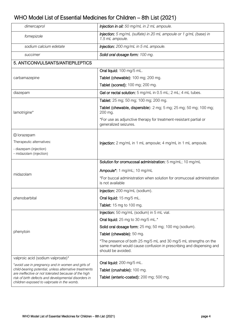| dimercaprol                                                                                                 | Injection in oil: 50 mg/mL in 2 mL ampoule.                                                                                                                   |  |
|-------------------------------------------------------------------------------------------------------------|---------------------------------------------------------------------------------------------------------------------------------------------------------------|--|
| fomepizole                                                                                                  | Injection: 5 mg/mL (sulfate) in 20 mL ampoule or 1 g/mL (base) in<br>1.5 mL ampoule.                                                                          |  |
| sodium calcium edetate                                                                                      | Injection: 200 mg/mL in 5 mL ampoule.                                                                                                                         |  |
| succimer                                                                                                    | Solid oral dosage form: 100 mg.                                                                                                                               |  |
| 5. ANTICONVULSANTS/ANTIEPILEPTICS                                                                           |                                                                                                                                                               |  |
|                                                                                                             | Oral liquid: 100 mg/5 mL.                                                                                                                                     |  |
| carbamazepine                                                                                               | Tablet (chewable): 100 mg; 200 mg.                                                                                                                            |  |
|                                                                                                             | Tablet (scored): 100 mg; 200 mg.                                                                                                                              |  |
| diazepam                                                                                                    | Gel or rectal solution: 5 mg/mL in 0.5 mL; 2 mL; 4 mL tubes.                                                                                                  |  |
|                                                                                                             | Tablet: 25 mg; 50 mg; 100 mg; 200 mg.                                                                                                                         |  |
| lamotrigine*                                                                                                | Tablet (chewable, dispersible): 2 mg; 5 mg; 25 mg; 50 mg; 100 mg;<br>200 mg.                                                                                  |  |
|                                                                                                             | *For use as adjunctive therapy for treatment-resistant partial or<br>generalized seizures.                                                                    |  |
| $\square$ lorazepam                                                                                         |                                                                                                                                                               |  |
| Therapeutic alternatives:                                                                                   | Injection: 2 mg/mL in 1 mL ampoule; 4 mg/mL in 1 mL ampoule.                                                                                                  |  |
| - diazepam (injection)<br>- midazolam (injection)                                                           |                                                                                                                                                               |  |
|                                                                                                             | Solution for oromucosal administration: 5 mg/mL; 10 mg/mL                                                                                                     |  |
|                                                                                                             | Ampoule*: 1 mg/mL; 10 mg/mL                                                                                                                                   |  |
| midazolam                                                                                                   | *For buccal administration when solution for oromucosal administration<br>is not available                                                                    |  |
|                                                                                                             | Injection: 200 mg/mL (sodium).                                                                                                                                |  |
| phenobarbital                                                                                               | Oral liquid: 15 mg/5 mL.                                                                                                                                      |  |
|                                                                                                             | Tablet: 15 mg to 100 mg.                                                                                                                                      |  |
|                                                                                                             | Injection: 50 mg/mL (sodium) in 5 mL vial.                                                                                                                    |  |
|                                                                                                             | Oral liquid: 25 mg to 30 mg/5 mL.*                                                                                                                            |  |
|                                                                                                             | Solid oral dosage form: 25 mg; 50 mg; 100 mg (sodium).                                                                                                        |  |
| phenytoin                                                                                                   | Tablet (chewable): 50 mg.                                                                                                                                     |  |
|                                                                                                             | *The presence of both 25 mg/5 mL and 30 mg/5 mL strengths on the<br>same market would cause confusion in prescribing and dispensing and<br>should be avoided. |  |
| valproic acid (sodium valproate)*                                                                           |                                                                                                                                                               |  |
| *avoid use in pregnancy and in women and girls of<br>child-bearing potential, unless alternative treatments | Oral liquid: 200 mg/5 mL.                                                                                                                                     |  |
| are ineffective or not tolerated because of the high                                                        | Tablet (crushable): 100 mg.                                                                                                                                   |  |
| risk of birth defects and developmental disorders in<br>children exposed to valproate in the womb.          | Tablet (enteric-coated): 200 mg; 500 mg.                                                                                                                      |  |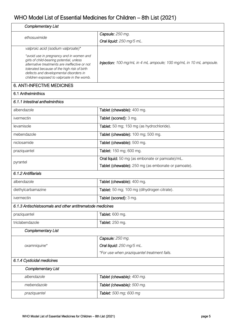| <b>Complementary List</b>                                                                                                                                                                                                                                                    |                                                                          |  |
|------------------------------------------------------------------------------------------------------------------------------------------------------------------------------------------------------------------------------------------------------------------------------|--------------------------------------------------------------------------|--|
| ethosuximide                                                                                                                                                                                                                                                                 | Capsule: 250 mg.                                                         |  |
|                                                                                                                                                                                                                                                                              | Oral liquid: 250 mg/5 mL.                                                |  |
| valproic acid (sodium valproate)*                                                                                                                                                                                                                                            |                                                                          |  |
| *avoid use in pregnancy and in women and<br>girls of child-bearing potential, unless<br>alternative treatments are ineffective or not<br>tolerated because of the high risk of birth<br>defects and developmental disorders in<br>children exposed to valproate in the womb. | <b>Injection:</b> 100 mg/mL in 4 mL ampoule; 100 mg/mL in 10 mL ampoule. |  |
| <b>6. ANTI-INFECTIVE MEDICINES</b>                                                                                                                                                                                                                                           |                                                                          |  |
| 6.1 Anthelminthics                                                                                                                                                                                                                                                           |                                                                          |  |
| 6.1.1 Intestinal anthelminthics                                                                                                                                                                                                                                              |                                                                          |  |
| albendazole                                                                                                                                                                                                                                                                  | Tablet (chewable): 400 mg.                                               |  |
| ivermectin                                                                                                                                                                                                                                                                   | Tablet (scored): 3 mg.                                                   |  |
| levamisole                                                                                                                                                                                                                                                                   | Tablet: 50 mg; 150 mg (as hydrochloride).                                |  |
| mebendazole                                                                                                                                                                                                                                                                  | Tablet (chewable): 100 mg; 500 mg.                                       |  |
| niclosamide                                                                                                                                                                                                                                                                  | Tablet (chewable): 500 mg.                                               |  |
| praziquantel                                                                                                                                                                                                                                                                 | Tablet: 150 mg; 600 mg.                                                  |  |
| pyrantel                                                                                                                                                                                                                                                                     | Oral liquid: 50 mg (as embonate or pamoate)/mL.                          |  |
|                                                                                                                                                                                                                                                                              | Tablet (chewable): 250 mg (as embonate or pamoate).                      |  |
| 6.1.2 Antifilarials                                                                                                                                                                                                                                                          |                                                                          |  |
| albendazole                                                                                                                                                                                                                                                                  | Tablet (chewable): 400 mg.                                               |  |
| diethylcarbamazine                                                                                                                                                                                                                                                           | Tablet: 50 mg; 100 mg (dihydrogen citrate).                              |  |
| ivermectin                                                                                                                                                                                                                                                                   | Tablet (scored): 3 mg.                                                   |  |
| 6.1.3 Antischistosomals and other antitrematode medicines                                                                                                                                                                                                                    |                                                                          |  |
| praziquantel                                                                                                                                                                                                                                                                 | Tablet: 600 mg.                                                          |  |
| triclabendazole                                                                                                                                                                                                                                                              | Tablet: 250 mg.                                                          |  |
| <b>Complementary List</b>                                                                                                                                                                                                                                                    |                                                                          |  |
|                                                                                                                                                                                                                                                                              | Capsule: 250 mg.                                                         |  |
| oxamniquine*                                                                                                                                                                                                                                                                 | Oral liquid: 250 mg/5 mL.                                                |  |
|                                                                                                                                                                                                                                                                              | *For use when praziquantel treatment fails.                              |  |
| 6.1.4 Cysticidal medicines                                                                                                                                                                                                                                                   |                                                                          |  |
| <b>Complementary List</b>                                                                                                                                                                                                                                                    |                                                                          |  |
| albendazole                                                                                                                                                                                                                                                                  | Tablet (chewable): 400 mg.                                               |  |
| mebendazole                                                                                                                                                                                                                                                                  | Tablet (chewable): 500 mg.                                               |  |
| praziquantel                                                                                                                                                                                                                                                                 | Tablet: 500 mg; 600 mg                                                   |  |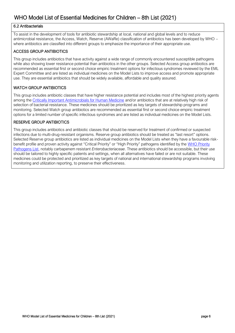#### 6.2 Antibacterials

To assist in the development of tools for antibiotic stewardship at local, national and global levels and to reduce antimicrobial resistance, the Access, Watch, Reserve (AWaRe) classification of antibiotics has been developed by WHO – where antibiotics are classified into different groups to emphasize the importance of their appropriate use.

#### ACCESS GROUP ANTIBIOTICS

This group includes antibiotics that have activity against a wide range of commonly encountered susceptible pathogens while also showing lower resistance potential than antibiotics in the other groups. Selected Access group antibiotics are recommended as essential first or second choice empiric treatment options for infectious syndromes reviewed by the EML Expert Committee and are listed as individual medicines on the Model Lists to improve access and promote appropriate use. They are essential antibiotics that should be widely available, affordable and quality assured.

#### WATCH GROUP ANTIBIOTICS

This group includes antibiotic classes that have higher resistance potential and includes most of the highest priority agents among th[e Critically Important Antimicrobials for Human Medicine](https://apps.who.int/iris/handle/10665/312266) and/or antibiotics that are at relatively high risk of selection of bacterial resistance. These medicines should be prioritized as key targets of stewardship programs and monitoring. Selected Watch group antibiotics are recommended as essential first or second choice empiric treatment options for a limited number of specific infectious syndromes and are listed as individual medicines on the Model Lists.

#### RESERVE GROUP ANTIBIOTICS

This group includes antibiotics and antibiotic classes that should be reserved for treatment of confirmed or suspected infections due to multi-drug-resistant organisms. Reserve group antibiotics should be treated as "last resort" options. Selected Reserve group antibiotics are listed as individual medicines on the Model Lists when they have a favourable riskbenefit profile and proven activity against "Critical Priority" or "High Priority" pathogens identified by the WHO Priority [Pathogens List,](https://apps.who.int/iris/handle/10665/311820) notably carbapenem resistant *Enterobacteriaceae*. These antibiotics should be accessible, but their use should be tailored to highly specific patients and settings, when all alternatives have failed or are not suitable. These medicines could be protected and prioritized as key targets of national and international stewardship programs involving monitoring and utilization reporting, to preserve their effectiveness.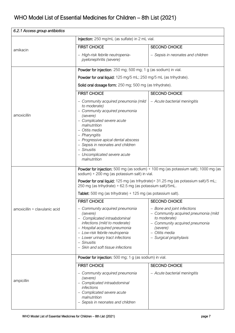| 6.2.1 Access group antibiotics |                                                                                                                                                                                                                                                                                                                                |                                                                                                                                                                               |  |
|--------------------------------|--------------------------------------------------------------------------------------------------------------------------------------------------------------------------------------------------------------------------------------------------------------------------------------------------------------------------------|-------------------------------------------------------------------------------------------------------------------------------------------------------------------------------|--|
|                                | Injection: 250 mg/mL (as sulfate) in 2 mL vial.                                                                                                                                                                                                                                                                                |                                                                                                                                                                               |  |
| amikacin                       | <b>FIRST CHOICE</b>                                                                                                                                                                                                                                                                                                            | <b>SECOND CHOICE</b>                                                                                                                                                          |  |
|                                | - High-risk febrile neutropenia-<br>pyelonephritis (severe)                                                                                                                                                                                                                                                                    | - Sepsis in neonates and children                                                                                                                                             |  |
|                                | Powder for injection: 250 mg; 500 mg; 1 g (as sodium) in vial.                                                                                                                                                                                                                                                                 |                                                                                                                                                                               |  |
|                                | Powder for oral liquid: 125 mg/5 mL; 250 mg/5 mL (as trihydrate).                                                                                                                                                                                                                                                              |                                                                                                                                                                               |  |
|                                | Solid oral dosage form: 250 mg; 500 mg (as trihydrate).                                                                                                                                                                                                                                                                        |                                                                                                                                                                               |  |
|                                | <b>FIRST CHOICE</b>                                                                                                                                                                                                                                                                                                            | <b>SECOND CHOICE</b>                                                                                                                                                          |  |
| amoxicillin                    | - Community acquired pneumonia (mild<br>to moderate)<br>- Community acquired pneumonia<br>(severe)<br>- Complicated severe acute<br>malnutrition<br>- Otitis media<br>- Pharyngitis<br>- Progressive apical dental abscess<br>- Sepsis in neonates and children<br>- Sinusitis<br>- Uncomplicated severe acute<br>malnutrition | - Acute bacterial meningitis                                                                                                                                                  |  |
|                                | Powder for injection: 500 mg (as sodium) + 100 mg (as potassium salt); 1000 mg (as<br>sodium) + 200 mg (as potassium salt) in vial.                                                                                                                                                                                            |                                                                                                                                                                               |  |
|                                | Powder for oral liquid: 125 mg (as trihydrate) + 31.25 mg (as potassium salt)/5 mL;<br>250 mg (as trihydrate) + 62.5 mg (as potassium salt)/5mL.                                                                                                                                                                               |                                                                                                                                                                               |  |
|                                | Tablet: 500 mg (as trihydrate) + 125 mg (as potassium salt).                                                                                                                                                                                                                                                                   |                                                                                                                                                                               |  |
|                                | <b>FIRST CHOICE</b>                                                                                                                                                                                                                                                                                                            | <b>SECOND CHOICE</b>                                                                                                                                                          |  |
| amoxicillin + clavulanic acid  | - Community acquired pneumonia<br>(severe)<br>Complicated intraabdominal<br>infections (mild to moderate)<br>- Hospital acquired pneumonia<br>- Low-risk febrile neutropenia<br>- Lower urinary tract infections<br>- Sinusitis<br>- Skin and soft tissue infections                                                           | - Bone and joint infections<br>- Community acquired pneumonia (mild<br>to moderate)<br>- Community acquired pneumonia<br>(severe)<br>- Otitis media<br>- Surgical prophylaxis |  |
|                                | Powder for injection: 500 mg; 1 g (as sodium) in vial.                                                                                                                                                                                                                                                                         |                                                                                                                                                                               |  |
| ampicillin                     | <b>FIRST CHOICE</b><br>- Community acquired pneumonia<br>(severe)<br>- Complicated intraabdominal<br>infections<br>- Complicated severe acute<br>malnutrition<br>- Sepsis in neonates and children                                                                                                                             | <b>SECOND CHOICE</b><br>- Acute bacterial meningitis                                                                                                                          |  |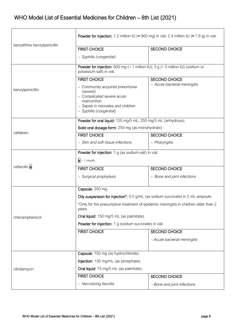|                             | <b>Powder for injection:</b> 1.2 million IU ( $\approx$ 900 mg) in vial; 2.4 million IU ( $\approx$ 1.8 g) in vial.                                      |                              |  |
|-----------------------------|----------------------------------------------------------------------------------------------------------------------------------------------------------|------------------------------|--|
| benzathine benzylpenicillin | <b>FIRST CHOICE</b>                                                                                                                                      | <b>SECOND CHOICE</b>         |  |
|                             | - Syphilis (congenital)                                                                                                                                  |                              |  |
|                             | <b>Powder for injection:</b> 600 mg (= 1 million IU); 3 g (= 5 million IU) (sodium or<br>potassium salt) in vial.                                        |                              |  |
|                             | <b>FIRST CHOICE</b>                                                                                                                                      | <b>SECOND CHOICE</b>         |  |
| benzylpenicillin            | - Community acquired pneumonia<br>(severe)<br>- Complicated severe acute<br>malnutrition<br>- Sepsis in neonates and children<br>- Syphilis (congenital) | - Acute bacterial meningitis |  |
|                             | Powder for oral liquid: 125 mg/5 mL; 250 mg/5 mL (anhydrous).                                                                                            |                              |  |
|                             | Solid oral dosage form: 250 mg (as monohydrate).                                                                                                         |                              |  |
| cefalexin                   | <b>FIRST CHOICE</b>                                                                                                                                      | <b>SECOND CHOICE</b>         |  |
|                             | - Skin and soft tissue infections                                                                                                                        | - Pharyngitis                |  |
|                             | Powder for injection: 1 g (as sodium salt) in vial.                                                                                                      |                              |  |
|                             | $a > 1$ month.                                                                                                                                           |                              |  |
| cefazolin a                 | <b>FIRST CHOICE</b>                                                                                                                                      | <b>SECOND CHOICE</b>         |  |
|                             | - Surgical prophylaxis                                                                                                                                   | - Bone and joint infections  |  |
|                             | Capsule: 250 mg.                                                                                                                                         |                              |  |
|                             | Oily suspension for injection <sup>*</sup> : 0.5 g/mL (as sodium succinate) in 2 mL ampoule.                                                             |                              |  |
|                             | *Only for the presumptive treatment of epidemic meningitis in children older than 2<br>years.                                                            |                              |  |
| chloramphenicol             | Oral liquid: 150 mg/5 mL (as palmitate).                                                                                                                 |                              |  |
|                             | Powder for injection: 1 g (sodium succinate) in vial.                                                                                                    |                              |  |
|                             | <b>FIRST CHOICE</b>                                                                                                                                      | <b>SECOND CHOICE</b>         |  |
|                             |                                                                                                                                                          | -Acute bacterial meningitis  |  |
|                             | Capsule: 150 mg (as hydrochloride).                                                                                                                      |                              |  |
|                             | Injection: 150 mg/mL (as phosphate).                                                                                                                     |                              |  |
| clindamycin                 | Oral liquid: 75 mg/5 mL (as palmitate).                                                                                                                  |                              |  |
|                             | <b>FIRST CHOICE</b>                                                                                                                                      | <b>SECOND CHOICE</b>         |  |
|                             | - Necrotizing fasciitis                                                                                                                                  | -Bone and joint infections   |  |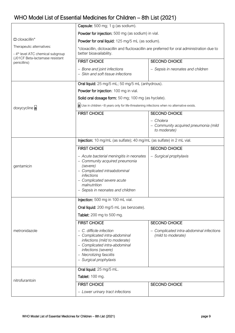|                                                                            | Capsule: 500 mg; 1 g (as sodium).                                                                                                                                                                                       |                                                                   |  |
|----------------------------------------------------------------------------|-------------------------------------------------------------------------------------------------------------------------------------------------------------------------------------------------------------------------|-------------------------------------------------------------------|--|
|                                                                            | Powder for injection: 500 mg (as sodium) in vial.                                                                                                                                                                       |                                                                   |  |
| $\square$ cloxacillin*                                                     | Powder for oral liquid: 125 mg/5 mL (as sodium).                                                                                                                                                                        |                                                                   |  |
| Therapeutic alternatives:<br>- 4 <sup>th</sup> level ATC chemical subgroup | *cloxacillin, dicloxacillin and flucloxacillin are preferred for oral administration due to<br>better bioavailability.                                                                                                  |                                                                   |  |
| (J01CF Beta-lactamase resistant<br>penicillins)                            | <b>FIRST CHOICE</b>                                                                                                                                                                                                     | <b>SECOND CHOICE</b>                                              |  |
|                                                                            | - Bone and joint infections<br>- Skin and soft tissue infections                                                                                                                                                        | - Sepsis in neonates and children                                 |  |
|                                                                            | Oral liquid: 25 mg/5 mL; 50 mg/5 mL (anhydrous).                                                                                                                                                                        |                                                                   |  |
|                                                                            | Powder for injection: 100 mg in vial.                                                                                                                                                                                   |                                                                   |  |
|                                                                            |                                                                                                                                                                                                                         | Solid oral dosage form: 50 mg; 100 mg (as hyclate).               |  |
| doxycycline a                                                              | a Use in children <8 years only for life-threatening infections when no alternative exists.                                                                                                                             |                                                                   |  |
|                                                                            | <b>FIRST CHOICE</b>                                                                                                                                                                                                     | <b>SECOND CHOICE</b>                                              |  |
|                                                                            |                                                                                                                                                                                                                         | – Cholera<br>- Community acquired pneumonia (mild<br>to moderate) |  |
|                                                                            | Injection: 10 mg/mL (as sulfate); 40 mg/mL (as sulfate) in 2 mL vial.                                                                                                                                                   |                                                                   |  |
|                                                                            | <b>FIRST CHOICE</b>                                                                                                                                                                                                     | <b>SECOND CHOICE</b>                                              |  |
| gentamicin                                                                 | - Acute bacterial meningitis in neonates<br>- Community acquired pneumonia<br>(severe)<br>- Complicated intraabdominal<br>infections<br>- Complicated severe acute<br>malnutrition<br>- Sepsis in neonates and children | - Surgical prophylaxis                                            |  |
|                                                                            | Injection: 500 mg in 100 mL vial.                                                                                                                                                                                       |                                                                   |  |
|                                                                            | Oral liquid: 200 mg/5 mL (as benzoate).                                                                                                                                                                                 |                                                                   |  |
|                                                                            | Tablet: 200 mg to 500 mg.                                                                                                                                                                                               |                                                                   |  |
|                                                                            | <b>FIRST CHOICE</b>                                                                                                                                                                                                     | <b>SECOND CHOICE</b>                                              |  |
| metronidazole                                                              | $-$ C. difficile infection<br>- Complicated intra-abdominal<br>infections (mild to moderate)<br>- Complicated intra-abdominal<br>infections (severe)<br>- Necrotizing fasciitis<br>- Surgical prophylaxis               | Complicated intra-abdominal infections<br>(mild to moderate)      |  |
|                                                                            | Oral liquid: 25 mg/5 mL.                                                                                                                                                                                                |                                                                   |  |
| nitrofurantoin                                                             | <b>Tablet: 100 mg.</b>                                                                                                                                                                                                  |                                                                   |  |
|                                                                            | <b>FIRST CHOICE</b>                                                                                                                                                                                                     | <b>SECOND CHOICE</b>                                              |  |
|                                                                            | - Lower urinary tract infections                                                                                                                                                                                        |                                                                   |  |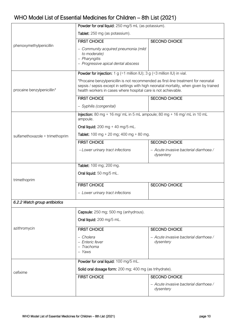|                                 | Powder for oral liquid: 250 mg/5 mL (as potassium).                                                                                                                                                                                            |                                                     |  |
|---------------------------------|------------------------------------------------------------------------------------------------------------------------------------------------------------------------------------------------------------------------------------------------|-----------------------------------------------------|--|
|                                 | Tablet: 250 mg (as potassium).                                                                                                                                                                                                                 |                                                     |  |
| phenoxymethylpenicillin         | <b>FIRST CHOICE</b>                                                                                                                                                                                                                            | <b>SECOND CHOICE</b>                                |  |
|                                 | - Community acquired pneumonia (mild<br>to moderate)<br>- Pharyngitis<br>- Progressive apical dental abscess                                                                                                                                   |                                                     |  |
|                                 | <b>Powder for injection:</b> 1 g (=1 million IU); 3 g (=3 million IU) in vial.                                                                                                                                                                 |                                                     |  |
| procaine benzylpenicillin*      | *Procaine benzylpenicillin is not recommended as first-line treatment for neonatal<br>sepsis / sepsis except in settings with high neonatal mortality, when given by trained<br>health workers in cases where hospital care is not achievable. |                                                     |  |
|                                 | <b>FIRST CHOICE</b>                                                                                                                                                                                                                            | <b>SECOND CHOICE</b>                                |  |
|                                 | - Syphilis (congenital)                                                                                                                                                                                                                        |                                                     |  |
|                                 | Injection: $80$ mg + 16 mg/ mL in 5 mL ampoule; $80$ mg + 16 mg/ mL in 10 mL<br>ampoule.                                                                                                                                                       |                                                     |  |
|                                 | Oral liquid: $200 \text{ mg} + 40 \text{ mg} / 5 \text{ mL}$ .                                                                                                                                                                                 |                                                     |  |
| sulfamethoxazole + trimethoprim | <b>Tablet:</b> 100 mg + 20 mg; 400 mg + 80 mg.                                                                                                                                                                                                 |                                                     |  |
|                                 | <b>FIRST CHOICE</b>                                                                                                                                                                                                                            | <b>SECOND CHOICE</b>                                |  |
|                                 | - Lower urinary tract infections                                                                                                                                                                                                               | - Acute invasive bacterial diarrhoea /<br>dysentery |  |
|                                 | Tablet: 100 mg; 200 mg.                                                                                                                                                                                                                        |                                                     |  |
|                                 | Oral liquid: 50 mg/5 mL.                                                                                                                                                                                                                       |                                                     |  |
| trimethoprim                    | <b>FIRST CHOICE</b>                                                                                                                                                                                                                            | <b>SECOND CHOICE</b>                                |  |
|                                 | - Lower urinary tract infections                                                                                                                                                                                                               |                                                     |  |
| 6.2.2 Watch group antibiotics   |                                                                                                                                                                                                                                                |                                                     |  |
|                                 | Capsule: 250 mg; 500 mg (anhydrous).                                                                                                                                                                                                           |                                                     |  |
|                                 | Oral liquid: 200 mg/5 mL.                                                                                                                                                                                                                      |                                                     |  |
| azithromycin                    | <b>FIRST CHOICE</b>                                                                                                                                                                                                                            | <b>SECOND CHOICE</b>                                |  |
|                                 | - Cholera<br>- Enteric fever<br>- Trachoma<br>- Yaws                                                                                                                                                                                           | - Acute invasive bacterial diarrhoea /<br>dysentery |  |
|                                 | Powder for oral liquid: 100 mg/5 mL.                                                                                                                                                                                                           |                                                     |  |
| cefixime                        | Solid oral dosage form: 200 mg; 400 mg (as trihydrate).                                                                                                                                                                                        |                                                     |  |
|                                 | <b>FIRST CHOICE</b>                                                                                                                                                                                                                            | <b>SECOND CHOICE</b>                                |  |
|                                 |                                                                                                                                                                                                                                                | - Acute invasive bacterial diarrhoea /<br>dysentery |  |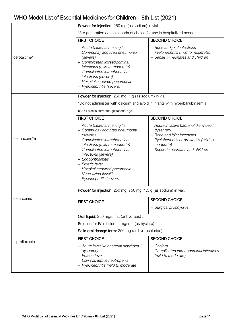|               | Powder for injection: 250 mg (as sodium) in vial.                                                                                                                                                                                                                                                                                   |                                                                                                                                                                                  |  |  |
|---------------|-------------------------------------------------------------------------------------------------------------------------------------------------------------------------------------------------------------------------------------------------------------------------------------------------------------------------------------|----------------------------------------------------------------------------------------------------------------------------------------------------------------------------------|--|--|
|               | *3rd generation cephalosporin of choice for use in hospitalized neonates.                                                                                                                                                                                                                                                           |                                                                                                                                                                                  |  |  |
|               | <b>FIRST CHOICE</b>                                                                                                                                                                                                                                                                                                                 | <b>SECOND CHOICE</b>                                                                                                                                                             |  |  |
| cefotaxime*   | - Acute bacterial meningitis<br>- Community acquired pneumonia<br>(severe)<br>- Complicated intraabdominal<br>infections (mild to moderate)<br>- Complicated intraabdominal<br>infections (severe)<br>- Hospital acquired pneumonia<br>- Pyelonephritis (severe)                                                                    | - Bone and joint infections<br>- Pyelonephritis (mild to moderate)<br>- Sepsis in neonates and children                                                                          |  |  |
|               | Powder for injection: 250 mg; 1 g (as sodium) in vial.                                                                                                                                                                                                                                                                              |                                                                                                                                                                                  |  |  |
|               | *Do not administer with calcium and avoid in infants with hyperbilirubinaemia.                                                                                                                                                                                                                                                      |                                                                                                                                                                                  |  |  |
|               | $a$ > 41 weeks corrected gestational age.                                                                                                                                                                                                                                                                                           |                                                                                                                                                                                  |  |  |
|               | <b>FIRST CHOICE</b>                                                                                                                                                                                                                                                                                                                 | <b>SECOND CHOICE</b>                                                                                                                                                             |  |  |
| ceftriaxone*a | - Acute bacterial meningitis<br>- Community acquired pneumonia<br>(severe)<br>- Complicated intraabdominal<br>infections (mild to moderate)<br>- Complicated intraabdominal<br>infections (severe)<br>- Endophthalmitis<br>- Enteric fever<br>- Hospital acquired pneumonia<br>- Necrotizing fasciitis<br>- Pyelonephritis (severe) | - Acute invasive bacterial diarrhoea /<br>dysentery<br>- Bone and joint infections<br>- Pyelohepnritis or prostatitis (mild to<br>moderate)<br>- Sepsis in neonates and children |  |  |
|               | Powder for injection: 250 mg; 750 mg; 1.5 g (as sodium) in vial.                                                                                                                                                                                                                                                                    |                                                                                                                                                                                  |  |  |
| cefuroxime    | <b>FIRST CHOICE</b>                                                                                                                                                                                                                                                                                                                 | <b>SECOND CHOICE</b>                                                                                                                                                             |  |  |
|               |                                                                                                                                                                                                                                                                                                                                     | - Surgical prophylaxis                                                                                                                                                           |  |  |
|               | Oral liquid: 250 mg/5 mL (anhydrous).                                                                                                                                                                                                                                                                                               |                                                                                                                                                                                  |  |  |
|               | Solution for IV infusion: 2 mg/ mL (as hyclate).                                                                                                                                                                                                                                                                                    |                                                                                                                                                                                  |  |  |
|               | Solid oral dosage form: 250 mg (as hydrochloride).                                                                                                                                                                                                                                                                                  |                                                                                                                                                                                  |  |  |
| ciprofloxacin | <b>FIRST CHOICE</b>                                                                                                                                                                                                                                                                                                                 | <b>SECOND CHOICE</b>                                                                                                                                                             |  |  |
|               | - Acute invasive bacterial diarrhoea /<br>dysentery<br>- Enteric fever<br>- Low-risk febrile neutropenia<br>- Pyelonephritis (mild to moderate)                                                                                                                                                                                     | - Cholera<br>Complicated intraabdominal infections<br>(mild to moderate)                                                                                                         |  |  |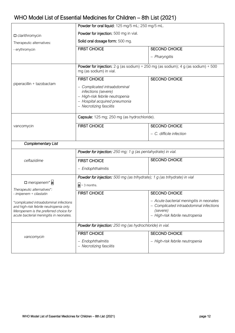|                                                                                                                                                                       | Powder for oral liquid: 125 mg/5 mL; 250 mg/5 mL.                                                                                                  |                                                                                                                                    |  |
|-----------------------------------------------------------------------------------------------------------------------------------------------------------------------|----------------------------------------------------------------------------------------------------------------------------------------------------|------------------------------------------------------------------------------------------------------------------------------------|--|
| $\square$ clarithromycin                                                                                                                                              | Powder for injection: 500 mg in vial.                                                                                                              |                                                                                                                                    |  |
| Therapeutic alternatives:                                                                                                                                             | Solid oral dosage form: 500 mg.                                                                                                                    |                                                                                                                                    |  |
| - erythromycin                                                                                                                                                        | <b>FIRST CHOICE</b>                                                                                                                                | <b>SECOND CHOICE</b>                                                                                                               |  |
|                                                                                                                                                                       |                                                                                                                                                    | - Pharyngitis                                                                                                                      |  |
|                                                                                                                                                                       | <b>Powder for injection:</b> 2 g (as sodium) + 250 mg (as sodium); 4 g (as sodium) + 500<br>mg (as sodium) in vial.                                |                                                                                                                                    |  |
|                                                                                                                                                                       | <b>FIRST CHOICE</b>                                                                                                                                | <b>SECOND CHOICE</b>                                                                                                               |  |
| piperacillin + tazobactam                                                                                                                                             | - Complicated intraabdominal<br>infections (severe)<br>- High-risk febrile neutropenia<br>- Hospital acquired pneumonia<br>- Necrotizing fasciitis |                                                                                                                                    |  |
|                                                                                                                                                                       | Capsule: 125 mg; 250 mg (as hydrochloride).                                                                                                        |                                                                                                                                    |  |
| vancomycin                                                                                                                                                            | <b>FIRST CHOICE</b>                                                                                                                                | <b>SECOND CHOICE</b>                                                                                                               |  |
|                                                                                                                                                                       |                                                                                                                                                    | - C. difficile infection                                                                                                           |  |
| <b>Complementary List</b>                                                                                                                                             |                                                                                                                                                    |                                                                                                                                    |  |
|                                                                                                                                                                       | Powder for injection: 250 mg; 1 g (as pentahydrate) in vial.                                                                                       |                                                                                                                                    |  |
| ceftazidime                                                                                                                                                           | <b>FIRST CHOICE</b>                                                                                                                                | <b>SECOND CHOICE</b>                                                                                                               |  |
|                                                                                                                                                                       | - Endophthalmitis                                                                                                                                  |                                                                                                                                    |  |
|                                                                                                                                                                       | Powder for injection: 500 mg (as trihydrate); 1 g (as trihydrate) in vial                                                                          |                                                                                                                                    |  |
| $\Box$ meropenem* a<br>Therapeutic alternatives*:                                                                                                                     | $a > 3$ months.                                                                                                                                    |                                                                                                                                    |  |
| - imipenem + cilastatin                                                                                                                                               | <b>FIRST CHOICE</b>                                                                                                                                | <b>SECOND CHOICE</b>                                                                                                               |  |
| *complicated intraabdominal infections<br>and high-risk febrile neutropenia only.<br>Meropenem is the preferred choice for<br>acute bacterial meningitis in neonates. |                                                                                                                                                    | - Acute bacterial meningitis in neonates<br>- Complicated intraabdominal infections<br>(severe)<br>- High-risk febrile neutropenia |  |
|                                                                                                                                                                       | Powder for injection: 250 mg (as hydrochloride) in vial.                                                                                           |                                                                                                                                    |  |
| vancomycin                                                                                                                                                            | <b>FIRST CHOICE</b>                                                                                                                                | <b>SECOND CHOICE</b>                                                                                                               |  |
|                                                                                                                                                                       | - Endophthalmitis<br>- Necrotizing fasciitis                                                                                                       | - High-risk febrile neutropenia                                                                                                    |  |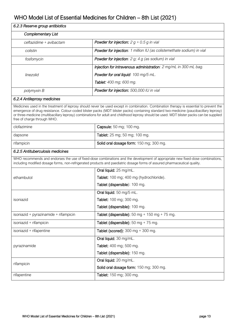| 6.2.3 Reserve group antibiotics       |                                                                                                                                                                                                                                                                                                                                                                                                                               |  |
|---------------------------------------|-------------------------------------------------------------------------------------------------------------------------------------------------------------------------------------------------------------------------------------------------------------------------------------------------------------------------------------------------------------------------------------------------------------------------------|--|
| <b>Complementary List</b>             |                                                                                                                                                                                                                                                                                                                                                                                                                               |  |
| ceftazidime + avibactam               | <b>Powder for injection:</b> $2g + 0.5g$ in vial                                                                                                                                                                                                                                                                                                                                                                              |  |
| colistin                              | Powder for injection: 1 million IU (as colistemethate sodium) in vial                                                                                                                                                                                                                                                                                                                                                         |  |
| fosfomycin                            | <b>Powder for injection</b> : $2 g$ ; $4 g$ (as sodium) in vial                                                                                                                                                                                                                                                                                                                                                               |  |
|                                       | Injection for intravenous administration: 2 mg/mL in 300 mL bag.                                                                                                                                                                                                                                                                                                                                                              |  |
| linezolid                             | Powder for oral liquid: 100 mg/5 mL.                                                                                                                                                                                                                                                                                                                                                                                          |  |
|                                       | Tablet: 400 mg; 600 mg.                                                                                                                                                                                                                                                                                                                                                                                                       |  |
| polymyxin B                           | Powder for injection: 500,000 IU in vial                                                                                                                                                                                                                                                                                                                                                                                      |  |
| 6.2.4 Antileprosy medicines           |                                                                                                                                                                                                                                                                                                                                                                                                                               |  |
| free of charge through WHO.           | Medicines used in the treatment of leprosy should never be used except in combination. Combination therapy is essential to prevent the<br>emergence of drug resistance. Colour-coded blister packs (MDT blister packs) containing standard two-medicine (paucibacillary leprosy)<br>or three-medicine (multibacillary leprosy) combinations for adult and childhood leprosy should be used. MDT blister packs can be supplied |  |
| clofazimine                           | Capsule: 50 mg; 100 mg.                                                                                                                                                                                                                                                                                                                                                                                                       |  |
| dapsone                               | Tablet: 25 mg; 50 mg; 100 mg.                                                                                                                                                                                                                                                                                                                                                                                                 |  |
| rifampicin                            | Solid oral dosage form: 150 mg; 300 mg.                                                                                                                                                                                                                                                                                                                                                                                       |  |
| 6.2.5 Antituberculosis medicines      |                                                                                                                                                                                                                                                                                                                                                                                                                               |  |
|                                       | WHO recommends and endorses the use of fixed-dose combinations and the development of appropriate new fixed-dose combinations,<br>including modified dosage forms, non-refrigerated products and paediatric dosage forms of assured pharmaceutical quality.                                                                                                                                                                   |  |
|                                       | Oral liquid: 25 mg/mL.                                                                                                                                                                                                                                                                                                                                                                                                        |  |
| ethambutol                            | Tablet: 100 mg; 400 mg (hydrochloride).                                                                                                                                                                                                                                                                                                                                                                                       |  |
|                                       | Tablet (dispersible): 100 mg.                                                                                                                                                                                                                                                                                                                                                                                                 |  |
|                                       | Oral liquid: 50 mg/5 mL.                                                                                                                                                                                                                                                                                                                                                                                                      |  |
| isoniazid                             | <b>Tablet:</b> 100 mg; 300 mg                                                                                                                                                                                                                                                                                                                                                                                                 |  |
|                                       | Tablet (dispersible): 100 mg.                                                                                                                                                                                                                                                                                                                                                                                                 |  |
| isoniazid + pyrazinamide + rifampicin | Tablet (dispersible): $50 \text{ mg} + 150 \text{ mg} + 75 \text{ mg}$ .                                                                                                                                                                                                                                                                                                                                                      |  |
| isoniazid + rifampicin                | Tablet (dispersible): $50 \text{ mg} + 75 \text{ mg}$ .                                                                                                                                                                                                                                                                                                                                                                       |  |
| isoniazid + rifapentine               | Tablet (scored): $300 \text{ mg} + 300 \text{ mg}$ .                                                                                                                                                                                                                                                                                                                                                                          |  |
|                                       | Oral liquid: 30 mg/mL.                                                                                                                                                                                                                                                                                                                                                                                                        |  |
| pyrazinamide                          | Tablet: 400 mg; 500 mg.                                                                                                                                                                                                                                                                                                                                                                                                       |  |
|                                       | Tablet (dispersible): 150 mg.                                                                                                                                                                                                                                                                                                                                                                                                 |  |
|                                       | Oral liquid: 20 mg/mL.                                                                                                                                                                                                                                                                                                                                                                                                        |  |
| rifampicin                            | Solid oral dosage form: 150 mg; 300 mg.                                                                                                                                                                                                                                                                                                                                                                                       |  |
| rifapentine                           | Tablet: 150 mg; 300 mg.                                                                                                                                                                                                                                                                                                                                                                                                       |  |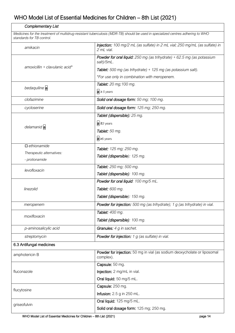| <b>Complementary List</b>                                                                                                                                   |                                                                                           |  |
|-------------------------------------------------------------------------------------------------------------------------------------------------------------|-------------------------------------------------------------------------------------------|--|
| Medicines for the treatment of multidrug-resistant tuberculosis (MDR-TB) should be used in specialized centres adhering to WHO<br>standards for TB control. |                                                                                           |  |
| amikacin                                                                                                                                                    | Injection: 100 mg/2 mL (as sulfate) in 2 mL vial; 250 mg/mL (as sulfate) in<br>2 mL vial. |  |
|                                                                                                                                                             | Powder for oral liquid: $250$ mg (as trihydrate) + $62.5$ mg (as potassium<br>salt)/5mL.  |  |
| amoxicillin + clavulanic acid*                                                                                                                              | Tablet: 500 mg (as trihydrate) + 125 mg (as potassium salt).                              |  |
|                                                                                                                                                             | *For use only in combination with meropenem.                                              |  |
| bedaquiline a                                                                                                                                               | <b>Tablet:</b> 20 mg; 100 mg.                                                             |  |
|                                                                                                                                                             | $a \ge 5$ years                                                                           |  |
| clofazimine                                                                                                                                                 | Solid oral dosage form: 50 mg; 100 mg.                                                    |  |
| cycloserine                                                                                                                                                 | Solid oral dosage form: 125 mg; 250 mg.                                                   |  |
|                                                                                                                                                             | Tablet (dispersible): 25 mg.                                                              |  |
| delamanid a                                                                                                                                                 | a ≥3 years                                                                                |  |
|                                                                                                                                                             | Tablet: 50 mg.                                                                            |  |
|                                                                                                                                                             | $a \geq 6$ years                                                                          |  |
| $\Box$ ethionamide                                                                                                                                          | Tablet: 125 mg; 250 mg.                                                                   |  |
| Therapeutic alternatives:                                                                                                                                   | Tablet (dispersible): 125 mg.                                                             |  |
| - protionamide                                                                                                                                              |                                                                                           |  |
| levofloxacin                                                                                                                                                | Tablet: 250 mg; 500 mg.                                                                   |  |
|                                                                                                                                                             | Tablet (dispersible): 100 mg.                                                             |  |
|                                                                                                                                                             | Powder for oral liquid: 100 mg/5 mL.                                                      |  |
| linezolid                                                                                                                                                   | Tablet: 600 mg.                                                                           |  |
|                                                                                                                                                             | Tablet (dispersible): 150 mg.                                                             |  |
| meropenem                                                                                                                                                   | Powder for injection: 500 mg (as trihydrate); 1 g (as trihydrate) in vial.                |  |
| moxifloxacin                                                                                                                                                | Tablet: 400 mg.                                                                           |  |
|                                                                                                                                                             | Tablet (dispersible): 100 mg.                                                             |  |
| p-aminosalicylic acid                                                                                                                                       | Granules: 4 g in sachet.                                                                  |  |
| streptomycin                                                                                                                                                | Powder for injection: 1 g (as sulfate) in vial.                                           |  |
| 6.3 Antifungal medicines                                                                                                                                    |                                                                                           |  |
| amphotericin B                                                                                                                                              | Powder for injection: 50 mg in vial (as sodium deoxycholate or liposomal<br>complex).     |  |
| fluconazole                                                                                                                                                 | Capsule: 50 mg.                                                                           |  |
|                                                                                                                                                             | Injection: 2 mg/mL in vial.                                                               |  |
|                                                                                                                                                             | Oral liquid: 50 mg/5 mL.                                                                  |  |
| flucytosine                                                                                                                                                 | Capsule: 250 mg.                                                                          |  |
|                                                                                                                                                             | <b>Infusion:</b> 2.5 g in 250 mL.                                                         |  |
| griseofulvin                                                                                                                                                | Oral liquid: 125 mg/5 mL.                                                                 |  |
|                                                                                                                                                             | Solid oral dosage form: 125 mg; 250 mg.                                                   |  |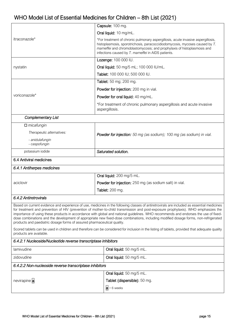| Oral liquid: 10 mg/mL.<br>itraconazole*<br>*For treatment of chronic pulmonary aspergillosis, acute invasive aspergillosis,<br>histoplasmosis, sporotrichosis, paracoccidiodomycosis, mycoses caused by T.<br>marneffei and chromoblastomycosis; and prophylaxis of histoplasmosis and<br>infections caused by T. marneffei in AIDS patients.<br>Lozenge: 100 000 IU.<br>Oral liquid: 50 mg/5 mL; 100 000 IU/mL.<br>nystatin<br>Tablet: 100 000 IU; 500 000 IU.<br>Tablet: 50 mg; 200 mg.<br>Powder for injection: 200 mg in vial.<br>voriconazole*<br>Powder for oral liquid: 40 mg/mL.<br>*For treatment of chronic pulmonary aspergillosis and acute invasive<br>aspergillosis.<br><b>Complementary List</b><br>$\Box$ micafungin<br>Therapeutic alternatives:<br><b>Powder for injection:</b> 50 mg (as sodium); 100 mg (as sodium) in vial.<br>- anidulafungin<br>- caspofungin<br>potassium iodide<br>Saturated solution.<br>6.4 Antiviral medicines<br>6.4.1 Antiherpes medicines<br>Oral liquid: 200 mg/5 mL.<br>Powder for injection: 250 mg (as sodium salt) in vial.<br>aciclovir<br>Tablet: 200 mg.<br>6.4.2 Antiretrovirals<br>Based on current evidence and experience of use, medicines in the following classes of antiretrovirals are included as essential medicines<br>for treatment and prevention of HIV (prevention of mother-to-child transmission and post-exposure prophylaxis). WHO emphasizes the<br>importance of using these products in accordance with global and national guidelines. WHO recommends and endorses the use of fixed-<br>dose combinations and the development of appropriate new fixed-dose combinations, including modified dosage forms, non-refrigerated<br>products and paediatric dosage forms of assured pharmaceutical quality.<br>Scored tablets can be used in children and therefore can be considered for inclusion in the listing of tablets, provided that adequate quality<br>products are available.<br>6.4.2.1 Nucleoside/Nucleotide reverse transcriptase inhibitors<br>Oral liquid: 50 mg/5 mL.<br>lamivudine<br>zidovudine<br>Oral liquid: 50 mg/5 mL.<br>6.4.2.2 Non-nucleoside reverse transcriptase inhibitors<br>Oral liquid: 50 mg/5 mL.<br>nevirapine a<br>Tablet (dispersible): 50 mg.<br>$a > 6$ weeks |  | Capsule: 100 mg. |  |
|----------------------------------------------------------------------------------------------------------------------------------------------------------------------------------------------------------------------------------------------------------------------------------------------------------------------------------------------------------------------------------------------------------------------------------------------------------------------------------------------------------------------------------------------------------------------------------------------------------------------------------------------------------------------------------------------------------------------------------------------------------------------------------------------------------------------------------------------------------------------------------------------------------------------------------------------------------------------------------------------------------------------------------------------------------------------------------------------------------------------------------------------------------------------------------------------------------------------------------------------------------------------------------------------------------------------------------------------------------------------------------------------------------------------------------------------------------------------------------------------------------------------------------------------------------------------------------------------------------------------------------------------------------------------------------------------------------------------------------------------------------------------------------------------------------------------------------------------------------------------------------------------------------------------------------------------------------------------------------------------------------------------------------------------------------------------------------------------------------------------------------------------------------------------------------------------------------------------------------------------------------------------------------|--|------------------|--|
|                                                                                                                                                                                                                                                                                                                                                                                                                                                                                                                                                                                                                                                                                                                                                                                                                                                                                                                                                                                                                                                                                                                                                                                                                                                                                                                                                                                                                                                                                                                                                                                                                                                                                                                                                                                                                                                                                                                                                                                                                                                                                                                                                                                                                                                                                  |  |                  |  |
|                                                                                                                                                                                                                                                                                                                                                                                                                                                                                                                                                                                                                                                                                                                                                                                                                                                                                                                                                                                                                                                                                                                                                                                                                                                                                                                                                                                                                                                                                                                                                                                                                                                                                                                                                                                                                                                                                                                                                                                                                                                                                                                                                                                                                                                                                  |  |                  |  |
|                                                                                                                                                                                                                                                                                                                                                                                                                                                                                                                                                                                                                                                                                                                                                                                                                                                                                                                                                                                                                                                                                                                                                                                                                                                                                                                                                                                                                                                                                                                                                                                                                                                                                                                                                                                                                                                                                                                                                                                                                                                                                                                                                                                                                                                                                  |  |                  |  |
|                                                                                                                                                                                                                                                                                                                                                                                                                                                                                                                                                                                                                                                                                                                                                                                                                                                                                                                                                                                                                                                                                                                                                                                                                                                                                                                                                                                                                                                                                                                                                                                                                                                                                                                                                                                                                                                                                                                                                                                                                                                                                                                                                                                                                                                                                  |  |                  |  |
|                                                                                                                                                                                                                                                                                                                                                                                                                                                                                                                                                                                                                                                                                                                                                                                                                                                                                                                                                                                                                                                                                                                                                                                                                                                                                                                                                                                                                                                                                                                                                                                                                                                                                                                                                                                                                                                                                                                                                                                                                                                                                                                                                                                                                                                                                  |  |                  |  |
|                                                                                                                                                                                                                                                                                                                                                                                                                                                                                                                                                                                                                                                                                                                                                                                                                                                                                                                                                                                                                                                                                                                                                                                                                                                                                                                                                                                                                                                                                                                                                                                                                                                                                                                                                                                                                                                                                                                                                                                                                                                                                                                                                                                                                                                                                  |  |                  |  |
|                                                                                                                                                                                                                                                                                                                                                                                                                                                                                                                                                                                                                                                                                                                                                                                                                                                                                                                                                                                                                                                                                                                                                                                                                                                                                                                                                                                                                                                                                                                                                                                                                                                                                                                                                                                                                                                                                                                                                                                                                                                                                                                                                                                                                                                                                  |  |                  |  |
|                                                                                                                                                                                                                                                                                                                                                                                                                                                                                                                                                                                                                                                                                                                                                                                                                                                                                                                                                                                                                                                                                                                                                                                                                                                                                                                                                                                                                                                                                                                                                                                                                                                                                                                                                                                                                                                                                                                                                                                                                                                                                                                                                                                                                                                                                  |  |                  |  |
|                                                                                                                                                                                                                                                                                                                                                                                                                                                                                                                                                                                                                                                                                                                                                                                                                                                                                                                                                                                                                                                                                                                                                                                                                                                                                                                                                                                                                                                                                                                                                                                                                                                                                                                                                                                                                                                                                                                                                                                                                                                                                                                                                                                                                                                                                  |  |                  |  |
|                                                                                                                                                                                                                                                                                                                                                                                                                                                                                                                                                                                                                                                                                                                                                                                                                                                                                                                                                                                                                                                                                                                                                                                                                                                                                                                                                                                                                                                                                                                                                                                                                                                                                                                                                                                                                                                                                                                                                                                                                                                                                                                                                                                                                                                                                  |  |                  |  |
|                                                                                                                                                                                                                                                                                                                                                                                                                                                                                                                                                                                                                                                                                                                                                                                                                                                                                                                                                                                                                                                                                                                                                                                                                                                                                                                                                                                                                                                                                                                                                                                                                                                                                                                                                                                                                                                                                                                                                                                                                                                                                                                                                                                                                                                                                  |  |                  |  |
|                                                                                                                                                                                                                                                                                                                                                                                                                                                                                                                                                                                                                                                                                                                                                                                                                                                                                                                                                                                                                                                                                                                                                                                                                                                                                                                                                                                                                                                                                                                                                                                                                                                                                                                                                                                                                                                                                                                                                                                                                                                                                                                                                                                                                                                                                  |  |                  |  |
|                                                                                                                                                                                                                                                                                                                                                                                                                                                                                                                                                                                                                                                                                                                                                                                                                                                                                                                                                                                                                                                                                                                                                                                                                                                                                                                                                                                                                                                                                                                                                                                                                                                                                                                                                                                                                                                                                                                                                                                                                                                                                                                                                                                                                                                                                  |  |                  |  |
|                                                                                                                                                                                                                                                                                                                                                                                                                                                                                                                                                                                                                                                                                                                                                                                                                                                                                                                                                                                                                                                                                                                                                                                                                                                                                                                                                                                                                                                                                                                                                                                                                                                                                                                                                                                                                                                                                                                                                                                                                                                                                                                                                                                                                                                                                  |  |                  |  |
|                                                                                                                                                                                                                                                                                                                                                                                                                                                                                                                                                                                                                                                                                                                                                                                                                                                                                                                                                                                                                                                                                                                                                                                                                                                                                                                                                                                                                                                                                                                                                                                                                                                                                                                                                                                                                                                                                                                                                                                                                                                                                                                                                                                                                                                                                  |  |                  |  |
|                                                                                                                                                                                                                                                                                                                                                                                                                                                                                                                                                                                                                                                                                                                                                                                                                                                                                                                                                                                                                                                                                                                                                                                                                                                                                                                                                                                                                                                                                                                                                                                                                                                                                                                                                                                                                                                                                                                                                                                                                                                                                                                                                                                                                                                                                  |  |                  |  |
|                                                                                                                                                                                                                                                                                                                                                                                                                                                                                                                                                                                                                                                                                                                                                                                                                                                                                                                                                                                                                                                                                                                                                                                                                                                                                                                                                                                                                                                                                                                                                                                                                                                                                                                                                                                                                                                                                                                                                                                                                                                                                                                                                                                                                                                                                  |  |                  |  |
|                                                                                                                                                                                                                                                                                                                                                                                                                                                                                                                                                                                                                                                                                                                                                                                                                                                                                                                                                                                                                                                                                                                                                                                                                                                                                                                                                                                                                                                                                                                                                                                                                                                                                                                                                                                                                                                                                                                                                                                                                                                                                                                                                                                                                                                                                  |  |                  |  |
|                                                                                                                                                                                                                                                                                                                                                                                                                                                                                                                                                                                                                                                                                                                                                                                                                                                                                                                                                                                                                                                                                                                                                                                                                                                                                                                                                                                                                                                                                                                                                                                                                                                                                                                                                                                                                                                                                                                                                                                                                                                                                                                                                                                                                                                                                  |  |                  |  |
|                                                                                                                                                                                                                                                                                                                                                                                                                                                                                                                                                                                                                                                                                                                                                                                                                                                                                                                                                                                                                                                                                                                                                                                                                                                                                                                                                                                                                                                                                                                                                                                                                                                                                                                                                                                                                                                                                                                                                                                                                                                                                                                                                                                                                                                                                  |  |                  |  |
|                                                                                                                                                                                                                                                                                                                                                                                                                                                                                                                                                                                                                                                                                                                                                                                                                                                                                                                                                                                                                                                                                                                                                                                                                                                                                                                                                                                                                                                                                                                                                                                                                                                                                                                                                                                                                                                                                                                                                                                                                                                                                                                                                                                                                                                                                  |  |                  |  |
|                                                                                                                                                                                                                                                                                                                                                                                                                                                                                                                                                                                                                                                                                                                                                                                                                                                                                                                                                                                                                                                                                                                                                                                                                                                                                                                                                                                                                                                                                                                                                                                                                                                                                                                                                                                                                                                                                                                                                                                                                                                                                                                                                                                                                                                                                  |  |                  |  |
|                                                                                                                                                                                                                                                                                                                                                                                                                                                                                                                                                                                                                                                                                                                                                                                                                                                                                                                                                                                                                                                                                                                                                                                                                                                                                                                                                                                                                                                                                                                                                                                                                                                                                                                                                                                                                                                                                                                                                                                                                                                                                                                                                                                                                                                                                  |  |                  |  |
|                                                                                                                                                                                                                                                                                                                                                                                                                                                                                                                                                                                                                                                                                                                                                                                                                                                                                                                                                                                                                                                                                                                                                                                                                                                                                                                                                                                                                                                                                                                                                                                                                                                                                                                                                                                                                                                                                                                                                                                                                                                                                                                                                                                                                                                                                  |  |                  |  |
|                                                                                                                                                                                                                                                                                                                                                                                                                                                                                                                                                                                                                                                                                                                                                                                                                                                                                                                                                                                                                                                                                                                                                                                                                                                                                                                                                                                                                                                                                                                                                                                                                                                                                                                                                                                                                                                                                                                                                                                                                                                                                                                                                                                                                                                                                  |  |                  |  |
|                                                                                                                                                                                                                                                                                                                                                                                                                                                                                                                                                                                                                                                                                                                                                                                                                                                                                                                                                                                                                                                                                                                                                                                                                                                                                                                                                                                                                                                                                                                                                                                                                                                                                                                                                                                                                                                                                                                                                                                                                                                                                                                                                                                                                                                                                  |  |                  |  |
|                                                                                                                                                                                                                                                                                                                                                                                                                                                                                                                                                                                                                                                                                                                                                                                                                                                                                                                                                                                                                                                                                                                                                                                                                                                                                                                                                                                                                                                                                                                                                                                                                                                                                                                                                                                                                                                                                                                                                                                                                                                                                                                                                                                                                                                                                  |  |                  |  |
|                                                                                                                                                                                                                                                                                                                                                                                                                                                                                                                                                                                                                                                                                                                                                                                                                                                                                                                                                                                                                                                                                                                                                                                                                                                                                                                                                                                                                                                                                                                                                                                                                                                                                                                                                                                                                                                                                                                                                                                                                                                                                                                                                                                                                                                                                  |  |                  |  |
|                                                                                                                                                                                                                                                                                                                                                                                                                                                                                                                                                                                                                                                                                                                                                                                                                                                                                                                                                                                                                                                                                                                                                                                                                                                                                                                                                                                                                                                                                                                                                                                                                                                                                                                                                                                                                                                                                                                                                                                                                                                                                                                                                                                                                                                                                  |  |                  |  |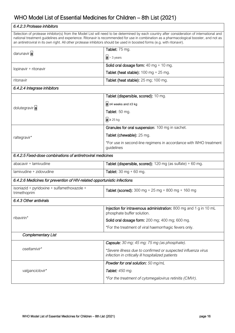| 6.4.2.3 Protease inhibitors                                                                                                                                                                                                                                                                                                                                                                                      |                                                                                                                    |  |
|------------------------------------------------------------------------------------------------------------------------------------------------------------------------------------------------------------------------------------------------------------------------------------------------------------------------------------------------------------------------------------------------------------------|--------------------------------------------------------------------------------------------------------------------|--|
| Selection of protease inhibitor(s) from the Model List will need to be determined by each country after consideration of international and<br>national treatment guidelines and experience. Ritonavir is recommended for use in combination as a pharmacological booster, and not as<br>an antiretroviral in its own right. All other protease inhibitors should be used in boosted forms (e.g. with ritonavir). |                                                                                                                    |  |
| darunavir a                                                                                                                                                                                                                                                                                                                                                                                                      | Tablet: 75 mg.                                                                                                     |  |
|                                                                                                                                                                                                                                                                                                                                                                                                                  | $ a  > 3$ years                                                                                                    |  |
| lopinavir + ritonavir                                                                                                                                                                                                                                                                                                                                                                                            | Solid oral dosage form: 40 mg + 10 mg.                                                                             |  |
|                                                                                                                                                                                                                                                                                                                                                                                                                  | Tablet (heat stable): $100 \text{ mg} + 25 \text{ mg}$ .                                                           |  |
| ritonavir                                                                                                                                                                                                                                                                                                                                                                                                        | Tablet (heat stable): 25 mg; 100 mg.                                                                               |  |
| 6.4.2.4 Integrase inhibitors                                                                                                                                                                                                                                                                                                                                                                                     |                                                                                                                    |  |
|                                                                                                                                                                                                                                                                                                                                                                                                                  | Tablet (dispersible, scored): 10 mg.                                                                               |  |
|                                                                                                                                                                                                                                                                                                                                                                                                                  | $a \geq 4$ weeks and $\geq 3$ kg                                                                                   |  |
| dolutegravir a                                                                                                                                                                                                                                                                                                                                                                                                   | Tablet: $50$ mg.                                                                                                   |  |
|                                                                                                                                                                                                                                                                                                                                                                                                                  | $a \geq 25$ kg                                                                                                     |  |
|                                                                                                                                                                                                                                                                                                                                                                                                                  | Granules for oral suspension: 100 mg in sachet.                                                                    |  |
| raltegravir*                                                                                                                                                                                                                                                                                                                                                                                                     | Tablet (chewable): 25 mg.                                                                                          |  |
|                                                                                                                                                                                                                                                                                                                                                                                                                  | *For use in second-line regimens in accordance with WHO treatment<br>guidelines                                    |  |
| 6.4.2.5 Fixed-dose combinations of antiretroviral medicines                                                                                                                                                                                                                                                                                                                                                      |                                                                                                                    |  |
| abacavir + lamivudine                                                                                                                                                                                                                                                                                                                                                                                            | Tablet (dispersible, scored): 120 mg (as sulfate) + 60 mg.                                                         |  |
| lamivudine + zidovudine                                                                                                                                                                                                                                                                                                                                                                                          | Tablet: $30 \text{ mg} + 60 \text{ mg}$ .                                                                          |  |
| 6.4.2.6 Medicines for prevention of HIV-related opportunistic infections                                                                                                                                                                                                                                                                                                                                         |                                                                                                                    |  |
| isoniazid + pyridoxine + sulfamethoxazole +<br>trimethoprim                                                                                                                                                                                                                                                                                                                                                      | Tablet (scored): $300 \text{ mg} + 25 \text{ mg} + 800 \text{ mg} + 160 \text{ mg}$                                |  |
| 6.4.3 Other antivirals                                                                                                                                                                                                                                                                                                                                                                                           |                                                                                                                    |  |
|                                                                                                                                                                                                                                                                                                                                                                                                                  | Injection for intravenous administration: 800 mg and 1 g in 10 mL<br>phosphate buffer solution.                    |  |
| ribavirin*                                                                                                                                                                                                                                                                                                                                                                                                       | Solid oral dosage form: 200 mg; 400 mg; 600 mg.                                                                    |  |
|                                                                                                                                                                                                                                                                                                                                                                                                                  | *For the treatment of viral haemorrhagic fevers only.                                                              |  |
| <b>Complementary List</b>                                                                                                                                                                                                                                                                                                                                                                                        |                                                                                                                    |  |
|                                                                                                                                                                                                                                                                                                                                                                                                                  | Capsule: 30 mg; 45 mg; 75 mg (as phosphate).                                                                       |  |
| oseltamivir*                                                                                                                                                                                                                                                                                                                                                                                                     | *Severe illness due to confirmed or suspected influenza virus<br>infection in critically ill hospitalized patients |  |
|                                                                                                                                                                                                                                                                                                                                                                                                                  | Powder for oral solution: 50 mg/mL                                                                                 |  |
| valganciclovir*                                                                                                                                                                                                                                                                                                                                                                                                  | Tablet: 450 mg.                                                                                                    |  |
|                                                                                                                                                                                                                                                                                                                                                                                                                  | *For the treatment of cytomegalovirus retinitis (CMVr).                                                            |  |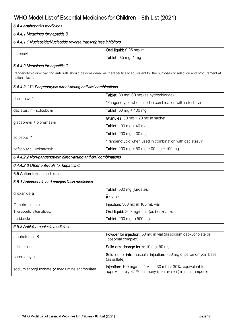| 6.4.4 Antihepatitis medicines                                                                                                                                |                                                                                                                                 |  |
|--------------------------------------------------------------------------------------------------------------------------------------------------------------|---------------------------------------------------------------------------------------------------------------------------------|--|
| 6.4.4.1 Medicines for hepatitis B                                                                                                                            |                                                                                                                                 |  |
| 6.4.4.1.1 Nucleoside/Nucleotide reverse transcriptase inhibitors                                                                                             |                                                                                                                                 |  |
| entecavir                                                                                                                                                    | Oral liquid: 0.05 mg/ mL                                                                                                        |  |
|                                                                                                                                                              | Tablet: 0.5 mg; 1 mg                                                                                                            |  |
| 6.4.4.2 Medicines for hepatitis C                                                                                                                            |                                                                                                                                 |  |
| Pangenotypic direct-acting antivirals should be considered as therapeutically equivalent for the purposes of selection and procurement at<br>national level. |                                                                                                                                 |  |
| 6.4.4.2.1 $\Box$ Pangenotypic direct-acting antiviral combinations                                                                                           |                                                                                                                                 |  |
| daclatasvir*                                                                                                                                                 | Tablet: 30 mg; 60 mg (as hydrochloride).                                                                                        |  |
|                                                                                                                                                              | *Pangenotypic when used in combination with sofosbuvir                                                                          |  |
| daclatasvir + sofosbuvir                                                                                                                                     | <b>Tablet:</b> 60 mg + 400 mg.                                                                                                  |  |
| glecaprevir + pibrentasvir                                                                                                                                   | Granules: $50 \text{ mg} + 20 \text{ mg}$ in sachet.                                                                            |  |
|                                                                                                                                                              | <b>Tablet:</b> $100 \text{ mg} + 40 \text{ mg}$ .                                                                               |  |
| sofosbuvir*                                                                                                                                                  | Tablet: 200 mg; 400 mg.                                                                                                         |  |
|                                                                                                                                                              | *Pangenotypic when used in combination with daclatasvir                                                                         |  |
| sofosbuvir + velpatasvir                                                                                                                                     | Tablet: 200 mg + 50 mg; 400 mg + 100 mg                                                                                         |  |
| 6.4.4.2.2 Non-pangenotypic direct-acting antiviral combinations                                                                                              |                                                                                                                                 |  |
| 6.4.4.2.3 Other antivirals for hepatitis C                                                                                                                   |                                                                                                                                 |  |
| 6.5 Antiprotozoal medicines                                                                                                                                  |                                                                                                                                 |  |
| 6.5.1 Antiamoebic and antigiardiasis medicines                                                                                                               |                                                                                                                                 |  |
| diloxanide a                                                                                                                                                 | Tablet: 500 mg (furoate).                                                                                                       |  |
|                                                                                                                                                              | $a > 25$ kg.                                                                                                                    |  |
| $\square$ metronidazole                                                                                                                                      | Injection: 500 mg in 100 mL vial.                                                                                               |  |
| Therapeutic alternatives:                                                                                                                                    | Oral liquid: 200 mg/5 mL (as benzoate).                                                                                         |  |
| - tinidazole                                                                                                                                                 | <b>Tablet:</b> 200 mg to 500 mg.                                                                                                |  |
| 6.5.2 Antileishmaniasis medicines                                                                                                                            |                                                                                                                                 |  |
| amphotericin B                                                                                                                                               | Powder for injection: 50 mg in vial (as sodium deoxycholate or<br>liposomal complex).                                           |  |
| Solid oral dosage form: 10 mg; 50 mg.<br>miltefosine                                                                                                         |                                                                                                                                 |  |
| paromomycin                                                                                                                                                  | Solution for intramuscular injection: 750 mg of paromomycin base<br>(as sulfate).                                               |  |
| sodium stibogluconate or meglumine antimoniate                                                                                                               | <b>Injection:</b> 100 mg/mL, 1 vial = 30 mL or 30%, equivalent to<br>approximately 8.1% antimony (pentavalent) in 5 mL ampoule. |  |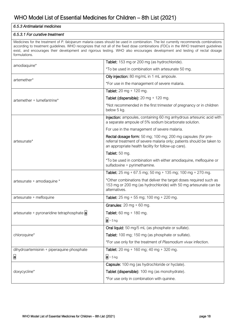#### *6.5.3 Antimalarial medicines*

#### *6.5.3.1 For curative treatment*

Medicines for the treatment of *P. falciparum* malaria cases should be used in combination. The list currently recommends combinations according to treatment guidelines. WHO recognizes that not all of the fixed dose combinations (FDCs in the WHO treatment guidelines exist, and encourages their development and rigorous testing. WHO also encourages development and testing of rectal dosage formulations.

| amodiaquine*                               | Tablet: 153 mg or 200 mg (as hydrochloride).                                                                                                                                                  |
|--------------------------------------------|-----------------------------------------------------------------------------------------------------------------------------------------------------------------------------------------------|
|                                            | *To be used in combination with artesunate 50 mg.                                                                                                                                             |
| artemether*                                | Oily injection: 80 mg/mL in 1 mL ampoule.                                                                                                                                                     |
|                                            | *For use in the management of severe malaria.                                                                                                                                                 |
|                                            | <b>Tablet:</b> 20 mg + 120 mg.                                                                                                                                                                |
| artemether + lumefantrine*                 | Tablet (dispersible): $20 \text{ mg} + 120 \text{ mg}$ .                                                                                                                                      |
|                                            | *Not recommended in the first trimester of pregnancy or in children<br>below 5 kg.                                                                                                            |
|                                            | Injection: ampoules, containing 60 mg anhydrous artesunic acid with<br>a separate ampoule of 5% sodium bicarbonate solution.                                                                  |
|                                            | For use in the management of severe malaria.                                                                                                                                                  |
| artesunate*                                | Rectal dosage form: 50 mg; 100 mg; 200 mg capsules (for pre-<br>referral treatment of severe malaria only; patients should be taken to<br>an appropriate health facility for follow-up care). |
|                                            | Tablet: 50 mg.                                                                                                                                                                                |
|                                            | *To be used in combination with either amodiaquine, mefloquine or<br>sulfadoxine + pyrimethamine.                                                                                             |
|                                            | Tablet: $25 \text{ mg} + 67.5 \text{ mg}$ ; $50 \text{ mg} + 135 \text{ mg}$ ; $100 \text{ mg} + 270 \text{ mg}$ .                                                                            |
| artesunate + amodiaquine *                 | *Other combinations that deliver the target doses required such as<br>153 mg or 200 mg (as hydrochloride) with 50 mg artesunate can be<br>alternatives.                                       |
| artesunate + mefloquine                    | Tablet: 25 mg + 55 mg; 100 mg + 220 mg.                                                                                                                                                       |
|                                            | Granules: $20 \text{ mg} + 60 \text{ mg}$ .                                                                                                                                                   |
| artesunate + pyronaridine tetraphosphate a | <b>Tablet:</b> 60 mg + 180 mg.                                                                                                                                                                |
|                                            | $ a  > 5$ kg                                                                                                                                                                                  |
|                                            | Oral liquid: 50 mg/5 mL (as phosphate or sulfate).                                                                                                                                            |
| chloroquine*                               | Tablet: 100 mg; 150 mg (as phosphate or sulfate).                                                                                                                                             |
|                                            | *For use only for the treatment of Plasmodium vivax infection.                                                                                                                                |
| dihydroartemisinin + piperaquine phosphate | Tablet: $20 \text{ mg} + 160 \text{ mg}$ ; $40 \text{ mg} + 320 \text{ mg}$ .                                                                                                                 |
| a                                          | $a > 5$ kg                                                                                                                                                                                    |
|                                            | Capsule: 100 mg (as hydrochloride or hyclate).                                                                                                                                                |
| doxycycline*                               | Tablet (dispersible): 100 mg (as monohydrate).                                                                                                                                                |
|                                            | *For use only in combination with quinine.                                                                                                                                                    |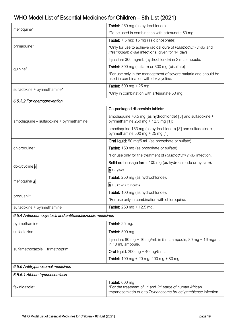|                                                          | Tablet: 250 mg (as hydrochloride).                                                                                                                 |
|----------------------------------------------------------|----------------------------------------------------------------------------------------------------------------------------------------------------|
| mefloquine*                                              | *To be used in combination with artesunate 50 mg.                                                                                                  |
|                                                          | Tablet: 7.5 mg; 15 mg (as diphosphate).                                                                                                            |
| primaquine*                                              | *Only for use to achieve radical cure of Plasmodium vivax and<br>Plasmodium ovale infections, given for 14 days.                                   |
|                                                          | Injection: 300 mg/mL (hydrochloride) in 2 mL ampoule.                                                                                              |
| quinine*                                                 | Tablet: 300 mg (sulfate) or 300 mg (bisulfate).                                                                                                    |
|                                                          | *For use only in the management of severe malaria and should be<br>used in combination with doxycycline.                                           |
| sulfadoxine + pyrimethamine*                             | <b>Tablet:</b> 500 mg + 25 mg.                                                                                                                     |
|                                                          | *Only in combination with artesunate 50 mg.                                                                                                        |
| 6.5.3.2 For chemoprevention                              |                                                                                                                                                    |
|                                                          | Co-packaged dispersible tablets:                                                                                                                   |
| amodiaquine - sulfadoxine + pyrimethamine                | amodiaquine 76.5 mg (as hydrochloride) [3] and sulfadoxine +<br>pyrimethamine $250$ mg + 12.5 mg [1];                                              |
|                                                          | amodiaquine 153 mg (as hydrochloride) [3] and sulfadoxine +<br>pyrimethamine 500 mg + 25 mg [1].                                                   |
|                                                          | Oral liquid: 50 mg/5 mL (as phosphate or sulfate).                                                                                                 |
| chloroquine*                                             | Tablet: 150 mg (as phosphate or sulfate).                                                                                                          |
|                                                          | *For use only for the treatment of Plasmodium vivax infection.                                                                                     |
|                                                          |                                                                                                                                                    |
|                                                          | Solid oral dosage form: 100 mg (as hydrochloride or hyclate).                                                                                      |
| doxycycline a                                            | $a > 8$ years.                                                                                                                                     |
|                                                          | Tablet: 250 mg (as hydrochloride).                                                                                                                 |
| mefloquine a                                             | $a > 5$ kg or $> 3$ months.                                                                                                                        |
|                                                          | Tablet: 100 mg (as hydrochloride).                                                                                                                 |
| proguanil*                                               | *For use only in combination with chloroquine.                                                                                                     |
| sulfadoxine + pyrimethamine                              | <b>Tablet:</b> 250 mg + 12.5 mg.                                                                                                                   |
| 6.5.4 Antipneumocystosis and antitoxoplasmosis medicines |                                                                                                                                                    |
| pyrimethamine                                            | Tablet: 25 mg.                                                                                                                                     |
| sulfadiazine                                             | Tablet: 500 mg.                                                                                                                                    |
|                                                          | Injection: 80 mg + 16 mg/mL in 5 mL ampoule; 80 mg + 16 mg/mL<br>in 10 mL ampoule.                                                                 |
| sulfamethoxazole + trimethoprim                          | Oral liquid: $200 \text{ mg} + 40 \text{ mg} / 5 \text{ mL}$ .                                                                                     |
|                                                          | <b>Tablet:</b> 100 mg + 20 mg; 400 mg + 80 mg.                                                                                                     |
| 6.5.5 Antitrypanosomal medicines                         |                                                                                                                                                    |
| 6.5.5.1 African trypanosomiasis                          |                                                                                                                                                    |
|                                                          | Tablet: 600 mg                                                                                                                                     |
| fexinidazole*                                            | *For the treatment of 1 <sup>st</sup> and 2 <sup>nd</sup> stage of human African<br>trypanosomiasis due to Trypanosoma brucei gambiense infection. |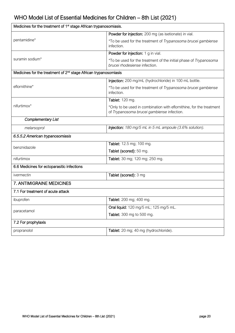| Medicines for the treatment of 1 <sup>st</sup> stage African trypanosomiasis. |                                                                                                                    |  |
|-------------------------------------------------------------------------------|--------------------------------------------------------------------------------------------------------------------|--|
|                                                                               | Powder for injection: 200 mg (as isetionate) in vial.                                                              |  |
| pentamidine*                                                                  | *To be used for the treatment of Trypanosoma brucei gambiense<br>infection.                                        |  |
|                                                                               | <b>Powder for injection:</b> 1 g in vial.                                                                          |  |
| suramin sodium*                                                               | *To be used for the treatment of the initial phase of Trypanosoma<br>brucei rhodesiense infection.                 |  |
| Medicines for the treatment of 2 <sup>nd</sup> stage African trypanosomiasis  |                                                                                                                    |  |
|                                                                               | Injection: 200 mg/mL (hydrochloride) in 100 mL bottle.                                                             |  |
| eflornithine*                                                                 | *To be used for the treatment of Trypanosoma brucei gambiense<br>infection.                                        |  |
|                                                                               | Tablet: 120 mg.                                                                                                    |  |
| nifurtimox*                                                                   | *Only to be used in combination with eflornithine, for the treatment<br>of Trypanosoma brucei gambiense infection. |  |
| <b>Complementary List</b>                                                     |                                                                                                                    |  |
| melarsoprol                                                                   | <b>Injection:</b> 180 mg/5 mL in 5 mL ampoule (3.6% solution).                                                     |  |
| 6.5.5.2 American trypanosomiasis                                              |                                                                                                                    |  |
| benznidazole                                                                  | Tablet: 12.5 mg; 100 mg.                                                                                           |  |
|                                                                               | Tablet (scored): 50 mg.                                                                                            |  |
| nifurtimox                                                                    | Tablet: 30 mg; 120 mg; 250 mg.                                                                                     |  |
| 6.6 Medicines for ectoparasitic infections                                    |                                                                                                                    |  |
| ivermectin                                                                    | Tablet (scored): 3 mg                                                                                              |  |
| 7. ANTIMIGRAINE MEDICINES                                                     |                                                                                                                    |  |
| 7.1 For treatment of acute attack                                             |                                                                                                                    |  |
| ibuprofen                                                                     | <b>Tablet:</b> 200 mg; 400 mg.                                                                                     |  |
| paracetamol                                                                   | Oral liquid: 120 mg/5 mL; 125 mg/5 mL.                                                                             |  |
|                                                                               | Tablet: 300 mg to 500 mg.                                                                                          |  |
| 7.2 For prophylaxis                                                           |                                                                                                                    |  |
| propranolol                                                                   | Tablet: 20 mg; 40 mg (hydrochloride).                                                                              |  |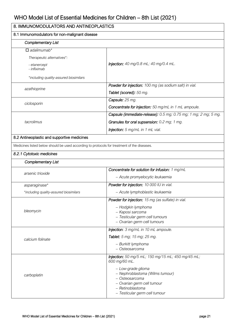| 8. IMMUNOMODULATORS AND ANTINEOPLASTICS                                                     |                                                                                                                                                            |
|---------------------------------------------------------------------------------------------|------------------------------------------------------------------------------------------------------------------------------------------------------------|
| 8.1 Immunomodulators for non-malignant disease                                              |                                                                                                                                                            |
| <b>Complementary List</b>                                                                   |                                                                                                                                                            |
| $\Box$ adalimumab*                                                                          |                                                                                                                                                            |
| Therapeutic alternatives*:                                                                  |                                                                                                                                                            |
| - etanercept<br>- infliximab                                                                | <b>Injection:</b> 40 mg/0.8 mL; 40 mg/0.4 mL.                                                                                                              |
| *including quality-assured biosimilars                                                      |                                                                                                                                                            |
| azathioprine                                                                                | Powder for injection: 100 mg (as sodium salt) in vial.                                                                                                     |
|                                                                                             | Tablet (scored): 50 mg.                                                                                                                                    |
| ciclosporin                                                                                 | Capsule: 25 mg.                                                                                                                                            |
|                                                                                             | Concentrate for injection: 50 mg/mL in 1 mL ampoule.                                                                                                       |
|                                                                                             | Capsule (immediate-release): 0.5 mg; 0.75 mg; 1 mg; 2 mg; 5 mg.                                                                                            |
| tacrolimus                                                                                  | Granules for oral supsension: 0.2 mg; 1 mg.                                                                                                                |
|                                                                                             | Injection: 5 mg/mL in 1 mL vial.                                                                                                                           |
| 8.2 Antineoplastic and supportive medicines                                                 |                                                                                                                                                            |
| Medicines listed below should be used according to protocols for treatment of the diseases. |                                                                                                                                                            |
| 8.2.1 Cytotoxic medicines                                                                   |                                                                                                                                                            |
| <b>Complementary List</b>                                                                   |                                                                                                                                                            |
|                                                                                             | Concentrate for solution for infusion: 1 mg/mL                                                                                                             |
| arsenic trioxide                                                                            | - Acute promyelocytic leukaemia                                                                                                                            |
| asparaginase*                                                                               | Powder for injection: 10 000 IU in vial.                                                                                                                   |
| *including quality-assured biosimilars                                                      | - Acute lymphoblastic leukaemia                                                                                                                            |
|                                                                                             | Powder for injection: 15 mg (as sulfate) in vial.                                                                                                          |
|                                                                                             | - Hodgkin lymphoma                                                                                                                                         |
| bleomycin                                                                                   | - Kaposi sarcoma<br>- Testicular germ cell tumours                                                                                                         |
|                                                                                             | - Ovarian germ cell tumours                                                                                                                                |
|                                                                                             | Injection: 3 mg/mL in 10 mL ampoule.                                                                                                                       |
| calcium folinate                                                                            | Tablet: 5 mg; 15 mg; 25 mg.                                                                                                                                |
|                                                                                             | - Burkitt lymphoma<br>- Osteosarcoma                                                                                                                       |
|                                                                                             | <b>Injection:</b> 50 mg/5 mL; 150 mg/15 mL; 450 mg/45 mL;<br>600 mg/60 mL.                                                                                 |
| carboplatin                                                                                 | - Low-grade glioma<br>- Nephroblastoma (Wilms tumour)<br>- Osteosarcoma<br>- Ovarian germ cell tumour<br>- Retinoblastoma<br>- Testicular germ cell tumour |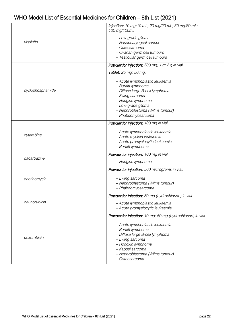|                  | <b>Injection:</b> 10 mg/10 mL; 20 mg/20 mL; 50 mg/50 mL;<br>100 mg/100mL.                                                                                                                                        |
|------------------|------------------------------------------------------------------------------------------------------------------------------------------------------------------------------------------------------------------|
| cisplatin        | - Low-grade glioma<br>- Nasopharyngeal cancer<br>- Osteosarcoma<br>- Ovarian germ cell tumours                                                                                                                   |
|                  | - Testicular germ cell tumours                                                                                                                                                                                   |
|                  | <b>Powder for injection:</b> 500 mg; 1 g; 2 g in vial.                                                                                                                                                           |
|                  | Tablet: 25 mg; 50 mg.                                                                                                                                                                                            |
| cyclophosphamide | - Acute lymphoblastic leukaemia<br>- Burkitt lymphoma<br>- Diffuse large B-cell lymphoma<br>- Ewing sarcoma<br>- Hodgkin lymphoma<br>- Low-grade glioma<br>- Nephroblastoma (Wilms tumour)<br>- Rhabdomyosarcoma |
|                  | Powder for injection: 100 mg in vial.                                                                                                                                                                            |
| cytarabine       | - Acute lymphoblastic leukaemia<br>- Acute myeloid leukaemia<br>- Acute promyelocytic leukaemia<br>- Burkitt lymphoma                                                                                            |
|                  | Powder for injection: 100 mg in vial.                                                                                                                                                                            |
| dacarbazine      | - Hodgkin lymphoma                                                                                                                                                                                               |
|                  | Powder for injection: 500 micrograms in vial.                                                                                                                                                                    |
| dactinomycin     | - Ewing sarcoma<br>- Nephroblastoma (Wilms tumour)<br>- Rhabdomyosarcoma                                                                                                                                         |
|                  | Powder for injection: 50 mg (hydrochloride) in vial.                                                                                                                                                             |
| daunorubicin     | - Acute lymphoblastic leukaemia<br>- Acute promyelocytic leukaemia.                                                                                                                                              |
|                  | Powder for injection: 10 mg; 50 mg (hydrochloride) in vial.                                                                                                                                                      |
| doxorubicin      | - Acute lymphoblastic leukaemia<br>- Burkitt lymphoma<br>- Diffuse large B-cell lymphoma<br>- Ewing sarcoma<br>- Hodgkin lymphoma<br>- Kaposi sarcoma<br>- Nephroblastoma (Wilms tumour)<br>- Osteosarcoma       |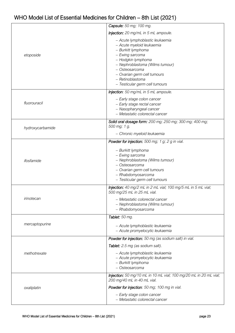|                  | Capsule: 50 mg; 100 mg.                                                                                                                                                                                                                                               |
|------------------|-----------------------------------------------------------------------------------------------------------------------------------------------------------------------------------------------------------------------------------------------------------------------|
|                  | Injection: 20 mg/mL in 5 mL ampoule.                                                                                                                                                                                                                                  |
| etoposide        | - Acute lymphoblastic leukaemia<br>- Acute myeloid leukaemia<br>- Burkitt lymphoma<br>- Ewing sarcoma<br>- Hodgkin lymphoma<br>- Nephroblastoma (Wilms tumour)<br>- Osteosarcoma<br>- Ovarian germ cell tumours<br>- Retinoblastoma<br>- Testicular germ cell tumours |
|                  | Injection: 50 mg/mL in 5 mL ampoule.                                                                                                                                                                                                                                  |
| fluorouracil     | - Early stage colon cancer<br>- Early stage rectal cancer<br>- Nasopharyngeal cancer<br>- Metastatic colorectal cancer                                                                                                                                                |
| hydroxycarbamide | Solid oral dosage form: 200 mg; 250 mg; 300 mg; 400 mg;<br>500 mg; 1 g.                                                                                                                                                                                               |
|                  | - Chronic myeloid leukaemia                                                                                                                                                                                                                                           |
|                  | Powder for injection: 500 mg; 1 g; 2 g in vial.                                                                                                                                                                                                                       |
| ifosfamide       | - Burkitt lymphoma<br>- Ewing sarcoma<br>- Nephroblastoma (Wilms tumour)<br>- Osteosarcoma<br>- Ovarian germ cell tumours<br>- Rhabdomyosarcoma<br>- Testicular germ cell tumours                                                                                     |
|                  | Injection: 40 mg/2 mL in 2 mL vial; 100 mg/5 mL in 5 mL vial;<br>500 mg/25 mL in 25 mL vial.                                                                                                                                                                          |
| irinotecan       | – Metastatic colorectal cancer<br>- Nephroblastoma (Wilms tumour)<br>- Rhabdomyosarcoma                                                                                                                                                                               |
|                  | Tablet: 50 mg.                                                                                                                                                                                                                                                        |
| mercaptopurine   | - Acute lymphoblastic leukaemia<br>- Acute promyelocytic leukaemia                                                                                                                                                                                                    |
|                  | Powder for injection: 50 mg (as sodium salt) in vial.                                                                                                                                                                                                                 |
|                  | Tablet: 2.5 mg (as sodium salt).                                                                                                                                                                                                                                      |
| methotrexate     | - Acute lymphoblastic leukaemia<br>- Acute promyelocytic leukaemia<br>- Burkitt lymphoma<br>- Osteosarcoma                                                                                                                                                            |
|                  | Injection: 50 mg/10 mL in 10 mL vial; 100 mg/20 mL in 20 mL vial;<br>200 mg/40 mL in 40 mL vial.                                                                                                                                                                      |
| oxaliplatin      | Powder for injection: 50 mg; 100 mg in vial.                                                                                                                                                                                                                          |
|                  | - Early stage colon cancer<br>- Metastatic colorectal cancer                                                                                                                                                                                                          |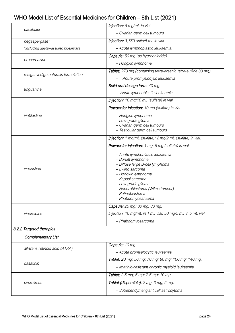| paclitaxel                             | Injection: 6 mg/mL in vial.                                        |
|----------------------------------------|--------------------------------------------------------------------|
|                                        | - Ovarian germ cell tumours                                        |
| pegaspargase*                          | Injection: 3,750 units/5 mL in vial                                |
| *including quality-assured biosimilars | - Acute lymphoblastic leukaemia.                                   |
| procarbazine                           | Capsule: 50 mg (as hydrochloride).                                 |
|                                        | - Hodgkin lymphoma                                                 |
| realgar-Indigo naturalis formulation   | Tablet: 270 mg (containing tetra-arsenic tetra-sulfide 30 mg)      |
|                                        | Acute promyelocytic leukaemia                                      |
| tioguanine                             | Solid oral dosage form: 40 mg.                                     |
|                                        | - Acute lymphoblastic leukaemia.                                   |
|                                        | Injection: 10 mg/10 mL (sulfate) in vial.                          |
|                                        | Powder for injection: 10 mg (sulfate) in vial.                     |
| vinblastine                            | - Hodgkin lymphoma                                                 |
|                                        | - Low-grade glioma                                                 |
|                                        | - Ovarian germ cell tumours                                        |
|                                        | - Testicular germ cell tumours                                     |
|                                        | <b>Injection</b> : 1 mg/mL (sulfate); 2 mg/2 mL (sulfate) in vial. |
|                                        | Powder for injection: 1 mg; 5 mg (sulfate) in vial.                |
|                                        | - Acute lymphoblastic leukaemia                                    |
|                                        | - Burkitt lymphoma.                                                |
|                                        | - Diffuse large B-cell lymphoma                                    |
| vincristine                            | - Ewing sarcoma                                                    |
|                                        | - Hodgkin lymphoma                                                 |
|                                        | - Kaposi sarcoma                                                   |
|                                        | - Low-grade glioma                                                 |
|                                        | - Nephroblastoma (Wilms tumour)                                    |
|                                        | - Retinoblastoma                                                   |
|                                        | - Rhabdomyosarcoma                                                 |
|                                        | Capsule: 20 mg; 30 mg; 80 mg.                                      |
| vinorelbine                            | Injection: 10 mg/mL in 1 mL vial; 50 mg/5 mL in 5 mL vial.         |
|                                        | - Rhabdomyosarcoma                                                 |
| 8.2.2 Targeted therapies               |                                                                    |
| Complementary List                     |                                                                    |
| all-trans retinoid acid (ATRA)         | Capsule: 10 mg.                                                    |
|                                        | - Acute promyelocytic leukaemia                                    |
| dasatinib                              | Tablet: 20 mg; 50 mg; 70 mg; 80 mg; 100 mg; 140 mg.                |
|                                        | - Imatinib-resistant chronic myeloid leukaemia                     |
|                                        | Tablet: 2.5 mg; 5 mg; 7.5 mg; 10 mg.                               |
| everolimus                             | Tablet (dispersible): 2 mg; 3 mg; 5 mg.                            |
|                                        | - Subependymal giant cell astrocytoma                              |
|                                        |                                                                    |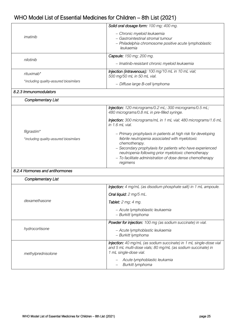| imatinib                               | Solid oral dosage form: 100 mg; 400 mg.                                                                          |
|----------------------------------------|------------------------------------------------------------------------------------------------------------------|
|                                        | - Chronic myeloid leukaemia                                                                                      |
|                                        | - Gastrointestinal stromal tumour                                                                                |
|                                        | - Philadelphia chromosome positive acute lymphoblastic                                                           |
|                                        | leukaemia                                                                                                        |
|                                        | Capsule: 150 mg; 200 mg.                                                                                         |
| nilotinib                              |                                                                                                                  |
|                                        | - Imatinib-resistant chronic myeloid leukaemia                                                                   |
| rituximab*                             | Injection (intravenous): 100 mg/10 mL in 10 mL vial;                                                             |
|                                        | 500 mg/50 mL in 50 mL vial.                                                                                      |
| *including quality-assured biosimilars | - Diffuse large B-cell lymphoma                                                                                  |
| 8.2.3 Immunomodulators                 |                                                                                                                  |
| <b>Complementary List</b>              |                                                                                                                  |
|                                        | Injection: 120 micrograms/0.2 mL; 300 micrograms/0.5 mL;                                                         |
|                                        | 480 micrograms/0.8 mL in pre-filled syringe.                                                                     |
|                                        | Injection: 300 micrograms/mL in 1 mL vial; 480 micrograms/1.6 mL                                                 |
|                                        | in 1.6 mL vial.                                                                                                  |
| filgrastim*                            |                                                                                                                  |
|                                        | - Primary prophylaxis in patients at high risk for developing                                                    |
| *including quality-assured biosimilars | febrile neutropenia associated with myelotoxic                                                                   |
|                                        | chemotherapy.                                                                                                    |
|                                        | - Secondary prophylaxis for patients who have experienced<br>neutropenia following prior myelotoxic chemotherapy |
|                                        | - To facilitate administration of dose dense chemotherapy                                                        |
|                                        | regimens                                                                                                         |
| 8.2.4 Hormones and antihormones        |                                                                                                                  |
|                                        |                                                                                                                  |
| <b>Complementary List</b>              |                                                                                                                  |
|                                        | <b>Injection:</b> 4 mg/mL (as disodium phosphate salt) in 1 mL ampoule.                                          |
|                                        | Oral liquid: 2 mg/5 mL.                                                                                          |
| dexamethasone                          | Tablet: 2 mg; 4 mg.                                                                                              |
|                                        | - Acute lymphoblastic leukaemia                                                                                  |
|                                        | - Burkitt lymphoma                                                                                               |
|                                        | Powder for injection: 100 mg (as sodium succinate) in vial.                                                      |
| hydrocortisone                         | - Acute lymphoblastic leukaemia                                                                                  |
|                                        | - Burkitt lymphoma                                                                                               |
|                                        |                                                                                                                  |
|                                        | Injection: 40 mg/mL (as sodium succinate) in 1 mL single-dose vial                                               |
|                                        | and 5 mL multi-dose vials; 80 mg/mL (as sodium succinate) in<br>1 mL single-dose vial.                           |
| methylprednisolone                     |                                                                                                                  |
|                                        | Acute lymphoblastic leukamia                                                                                     |
|                                        | Burkitt lymphoma                                                                                                 |
|                                        |                                                                                                                  |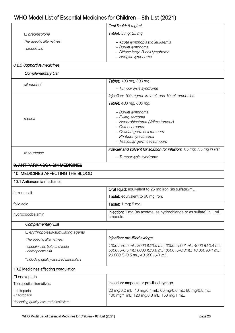|                                           | <b>Oral liquid:</b> 5 mg/mL.                          |  |
|-------------------------------------------|-------------------------------------------------------|--|
| $\Box$ prednisolone                       | <b>Tablet:</b> 5 mg; 25 mg.                           |  |
| Therapeutic alternatives:<br>- prednisone | - Acute lymphoblastic leukaemia<br>- Burkitt lymphoma |  |
|                                           | - Diffuse large B-cell lymphoma<br>- Hodgkin lymphoma |  |

#### *8.2.5 Supportive medicines*

| <b>Complementary List</b>                |                                                                                  |  |
|------------------------------------------|----------------------------------------------------------------------------------|--|
| allopurinol                              | Tablet: 100 mg; 300 mg.                                                          |  |
|                                          | - Tumour lysis syndrome                                                          |  |
|                                          | Injection: 100 mg/mL in 4 mL and 10 mL ampoules.                                 |  |
|                                          | Tablet: 400 mg; 600 mg.                                                          |  |
| mesna                                    | - Burkitt lymphoma<br>- Ewing sarcoma<br>- Nephroblastoma (Wilms tumour)         |  |
|                                          | - Osteosarcoma                                                                   |  |
|                                          | - Ovarian germ cell tumours                                                      |  |
|                                          | - Rhabdomyosarcoma                                                               |  |
|                                          | - Testicular germ cell tumours                                                   |  |
| rasburicase                              | Powder and solvent for solution for infusion: 1.5 mg; 7.5 mg in vial             |  |
|                                          | - Tumour lysis syndrome                                                          |  |
| 9. ANTIPARKINSONISM MEDICINES            |                                                                                  |  |
| 10. MEDICINES AFFECTING THE BLOOD        |                                                                                  |  |
| 10.1 Antianaemia medicines               |                                                                                  |  |
|                                          | Oral liquid: equivalent to 25 mg iron (as sulfate)/mL.                           |  |
| ferrous salt                             | Tablet: equivalent to 60 mg iron.                                                |  |
| folic acid                               | Tablet: 1 mg; 5 mg.                                                              |  |
| hydroxocobalamin                         | Injection: 1 mg (as acetate, as hydrochloride or as sulfate) in 1 mL<br>ampoule. |  |
| Complementary List                       |                                                                                  |  |
| $\Box$ erythropoiesis-stimulating agents |                                                                                  |  |

*Therapeutic alternatives: - epoetin alfa, beta and theta - darbepoetin alfa \*including quality-assured biosimilars Injection: pre-filled syringe 1000 IU/0.5 mL; 2000 IU/0.5 mL; 3000 IU/0.3 mL; 4000 IU/0.4 mL; 5000 IU/0.5 mL; 6000 IU/0.6 mL; 8000 IU/0.8mL; 10 000 IU/1 mL; 20 000 IU/0.5 mL; 40 000 IU/1 mL.* 10.2 Medicines affecting coagulation  $\square$  enoxaparin

| Therapeutic alternatives:              | Injection: ampoule or pre-filled syringe                                                            |
|----------------------------------------|-----------------------------------------------------------------------------------------------------|
| - dalteparin<br>- nadroparin           | 20 mg/0.2 mL; 40 mg/0.4 mL; 60 mg/0.6 mL; 80 mg/0.8 mL;<br>100 mg/1 mL; 120 mg/0.8 mL; 150 mg/1 mL. |
| *including quality-assured biosimilars |                                                                                                     |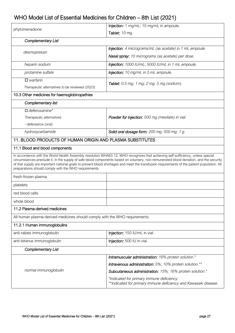| phytomenadione                                                                                                                                                                                                                                                                                                                                                                                                                                                                     | Injection: 1 mg/mL; 10 mg/mL in ampoule.                                                                     |  |
|------------------------------------------------------------------------------------------------------------------------------------------------------------------------------------------------------------------------------------------------------------------------------------------------------------------------------------------------------------------------------------------------------------------------------------------------------------------------------------|--------------------------------------------------------------------------------------------------------------|--|
|                                                                                                                                                                                                                                                                                                                                                                                                                                                                                    | Tablet: 10 mg.                                                                                               |  |
| <b>Complementary List</b>                                                                                                                                                                                                                                                                                                                                                                                                                                                          |                                                                                                              |  |
| desmopressin                                                                                                                                                                                                                                                                                                                                                                                                                                                                       | Injection: 4 micrograms/mL (as acetate) in 1 mL ampoule.                                                     |  |
|                                                                                                                                                                                                                                                                                                                                                                                                                                                                                    | Nasal spray: 10 micrograms (as acetate) per dose.                                                            |  |
| heparin sodium                                                                                                                                                                                                                                                                                                                                                                                                                                                                     | Injection: 1000 IU/mL; 5000 IU/mL in 1 mL ampoule.                                                           |  |
| protamine sulfate                                                                                                                                                                                                                                                                                                                                                                                                                                                                  | <b>Injection:</b> 10 mg/mL in 5 mL ampoule.                                                                  |  |
| $\square$ warfarin                                                                                                                                                                                                                                                                                                                                                                                                                                                                 | <b>Tablet:</b> 0.5 mg; 1 mg; 2 mg; 5 mg (sodium).                                                            |  |
| Therapeutic alternatives to be reviewed (2023)                                                                                                                                                                                                                                                                                                                                                                                                                                     |                                                                                                              |  |
| 10.3 Other medicines for haemoglobinopathies                                                                                                                                                                                                                                                                                                                                                                                                                                       |                                                                                                              |  |
| Complementary list                                                                                                                                                                                                                                                                                                                                                                                                                                                                 |                                                                                                              |  |
| $\Box$ deferoxamine*                                                                                                                                                                                                                                                                                                                                                                                                                                                               |                                                                                                              |  |
| Therapeutic alternatives:                                                                                                                                                                                                                                                                                                                                                                                                                                                          | Powder for injection: 500 mg (mesilate) in vial.                                                             |  |
| - deferasirox (oral)                                                                                                                                                                                                                                                                                                                                                                                                                                                               |                                                                                                              |  |
| hydroxycarbamide                                                                                                                                                                                                                                                                                                                                                                                                                                                                   | Solid oral dosage form: 200 mg; 500 mg; 1 g.                                                                 |  |
| 11. BLOOD PRODUCTS OF HUMAN ORIGIN AND PLASMA SUBSTITUTES                                                                                                                                                                                                                                                                                                                                                                                                                          |                                                                                                              |  |
| 11.1 Blood and blood components                                                                                                                                                                                                                                                                                                                                                                                                                                                    |                                                                                                              |  |
| In accordance with the World Health Assembly resolution WHA63.12, WHO recognizes that achieving self-sufficiency, unless special<br>circumstances preclude it, in the supply of safe blood components based on voluntary, non-remunerated blood donation, and the security<br>of that supply are important national goals to prevent blood shortages and meet the transfusion requirements of the patient population. All<br>preparations should comply with the WHO requirements. |                                                                                                              |  |
| fresh-frozen plasma                                                                                                                                                                                                                                                                                                                                                                                                                                                                |                                                                                                              |  |
| platelets                                                                                                                                                                                                                                                                                                                                                                                                                                                                          |                                                                                                              |  |
| red blood cells                                                                                                                                                                                                                                                                                                                                                                                                                                                                    |                                                                                                              |  |
| whole blood                                                                                                                                                                                                                                                                                                                                                                                                                                                                        |                                                                                                              |  |
| 11.2 Plasma-derived medicines                                                                                                                                                                                                                                                                                                                                                                                                                                                      |                                                                                                              |  |
| All human plasma-derived medicines should comply with the WHO requirements.                                                                                                                                                                                                                                                                                                                                                                                                        |                                                                                                              |  |
| 11.2.1 Human immunoglobulins                                                                                                                                                                                                                                                                                                                                                                                                                                                       |                                                                                                              |  |
| anti-rabies immunoglobulin                                                                                                                                                                                                                                                                                                                                                                                                                                                         | Injection: 150 IU/mL in vial.                                                                                |  |
| anti-tetanus immunoglobulin                                                                                                                                                                                                                                                                                                                                                                                                                                                        | Injection: 500 IU in vial.                                                                                   |  |
| <b>Complementary List</b>                                                                                                                                                                                                                                                                                                                                                                                                                                                          |                                                                                                              |  |
|                                                                                                                                                                                                                                                                                                                                                                                                                                                                                    | Intramuscular administration: 16% protein solution.*                                                         |  |
|                                                                                                                                                                                                                                                                                                                                                                                                                                                                                    | Intravenous administration: 5%; 10% protein solution.**                                                      |  |
| normal immunoglobulin                                                                                                                                                                                                                                                                                                                                                                                                                                                              | Subcutaneous administration: 15%; 16% protein solution.*                                                     |  |
|                                                                                                                                                                                                                                                                                                                                                                                                                                                                                    | *Indicated for primary immune deficiency.<br>**Indicated for primary immune deficiency and Kawasaki disease. |  |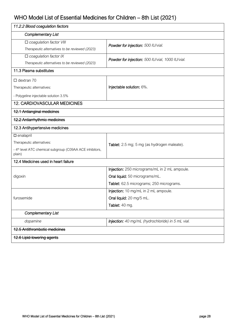| 11.2.2 Blood coagulation factors                                                                                                   |                                                                                                                             |  |
|------------------------------------------------------------------------------------------------------------------------------------|-----------------------------------------------------------------------------------------------------------------------------|--|
| <b>Complementary List</b>                                                                                                          |                                                                                                                             |  |
| $\Box$ coagulation factor VIII<br>Therapeutic alternatives to be reviewed (2023)                                                   | Powder for injection: 500 IU/vial.                                                                                          |  |
| $\Box$ coagulation factor IX<br>Therapeutic alternatives to be reviewed (2023)                                                     | <b>Powder for injection:</b> 500 IU/vial, 1000 IU/vial.                                                                     |  |
| 11.3 Plasma substitutes                                                                                                            |                                                                                                                             |  |
| $\Box$ dextran 70<br>Therapeutic alternatives:<br>- Polygeline injectable solution 3.5%                                            | Injectable solution: 6%.                                                                                                    |  |
| <b>12. CARDIOVASCULAR MEDICINES</b>                                                                                                |                                                                                                                             |  |
| <b>12.1 Antianginal medicines</b>                                                                                                  |                                                                                                                             |  |
| <b>12.2 Antiarrhythmic medicines</b>                                                                                               |                                                                                                                             |  |
| 12.3 Antihypertensive medicines                                                                                                    |                                                                                                                             |  |
| $\square$ enalapril<br>Therapeutic alternatives:<br>- 4 <sup>th</sup> level ATC chemical subgroup (C09AA ACE inhibitors,<br>plain) | Tablet: 2.5 mg; 5 mg (as hydrogen maleate).                                                                                 |  |
| 12.4 Medicines used in heart failure                                                                                               |                                                                                                                             |  |
| digoxin                                                                                                                            | Injection: 250 micrograms/mL in 2 mL ampoule.<br>Oral liquid: 50 micrograms/mL.<br>Tablet: 62.5 micrograms; 250 micrograms. |  |
| furosemide                                                                                                                         | Injection: 10 mg/mL in 2 mL ampoule.<br>Oral liquid: 20 mg/5 mL.<br>Tablet: 40 mg.                                          |  |
| Complementary List                                                                                                                 |                                                                                                                             |  |
| dopamine                                                                                                                           | Injection: 40 mg/mL (hydrochloride) in 5 mL vial.                                                                           |  |
| <b>12.5 Antithrombotic medicines</b>                                                                                               |                                                                                                                             |  |
| 12.6 Lipid-lowering agents                                                                                                         |                                                                                                                             |  |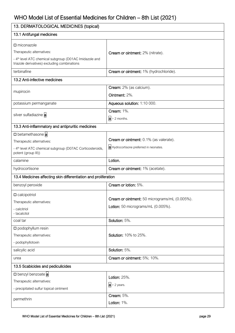| 13. DERMATOLOGICAL MEDICINES (topical)                                                                             |                                               |  |
|--------------------------------------------------------------------------------------------------------------------|-----------------------------------------------|--|
| 13.1 Antifungal medicines                                                                                          |                                               |  |
| $\Box$ miconazole                                                                                                  |                                               |  |
| Therapeutic alternatives:                                                                                          | Cream or ointment: 2% (nitrate).              |  |
| - 4 <sup>th</sup> level ATC chemical subgroup (D01AC Imidazole and<br>triazole derivatives) excluding combinations |                                               |  |
| terbinafine                                                                                                        | Cream or ointment: 1% (hydrochloride).        |  |
| 13.2 Anti-infective medicines                                                                                      |                                               |  |
|                                                                                                                    | Cream: 2% (as calcium).                       |  |
| mupirocin                                                                                                          | Ointment: 2%.                                 |  |
| potassium permanganate                                                                                             | Aqueous solution: 1:10 000.                   |  |
| silver sulfadiazine a                                                                                              | <b>Cream: 1%.</b>                             |  |
|                                                                                                                    | $a > 2$ months.                               |  |
| 13.3 Anti-inflammatory and antipruritic medicines                                                                  |                                               |  |
| D betamethasone a                                                                                                  |                                               |  |
| Therapeutic alternatives:                                                                                          | Cream or ointment: 0.1% (as valerate).        |  |
| - 4 <sup>th</sup> level ATC chemical subgroup (D07AC Corticosteroids,<br>potent (group III))                       | a Hydrocortisone preferred in neonates.       |  |
| calamine                                                                                                           | Lotion.                                       |  |
| hydrocortisone                                                                                                     | Cream or ointment: 1% (acetate).              |  |
| 13.4 Medicines affecting skin differentiation and proliferation                                                    |                                               |  |
| benzoyl peroxide                                                                                                   | Cream or lotion: 5%.                          |  |
| $\square$ calcipotriol                                                                                             |                                               |  |
| Therapeutic alternatives:                                                                                          | Cream or ointment: 50 micrograms/mL (0.005%). |  |
| - calcitriol                                                                                                       | Lotion: 50 micrograms/mL (0.005%).            |  |
| - tacalcitol                                                                                                       |                                               |  |
| coal tar                                                                                                           | Solution: 5%.                                 |  |
| $\square$ podophyllum resin                                                                                        |                                               |  |
| Therapeutic alternatives:                                                                                          | <b>Solution: 10% to 25%.</b>                  |  |
| - podophyllotoxin                                                                                                  |                                               |  |
| salicylic acid                                                                                                     | Solution: 5%.                                 |  |
| urea                                                                                                               | Cream or ointment: 5%; 10%.                   |  |
| 13.5 Scabicides and pediculicides                                                                                  |                                               |  |
| D benzyl benzoate a                                                                                                | <b>Lotion: 25%.</b>                           |  |
| Therapeutic alternatives:                                                                                          | $a$ > 2 years.                                |  |
| - precipitated sulfur topical ointment                                                                             |                                               |  |
| permethrin                                                                                                         | Cream: 5%.                                    |  |
|                                                                                                                    | Lotion: 1%.                                   |  |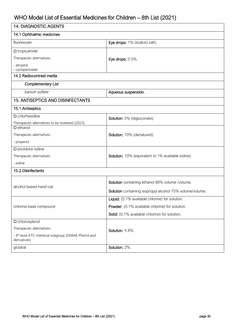| <b>14. DIAGNOSTIC AGENTS</b>                                                    |                                                          |  |
|---------------------------------------------------------------------------------|----------------------------------------------------------|--|
| 14.1 Ophthalmic medicines                                                       |                                                          |  |
| fluorescein                                                                     | Eye drops: 1% (sodium salt).                             |  |
| $\square$ tropicamide                                                           |                                                          |  |
| Therapeutic alternatives:                                                       | Eye drops: $0.5\%$ .                                     |  |
| - atropine<br>- cyclopentolate                                                  |                                                          |  |
| 14.2 Radiocontrast media                                                        |                                                          |  |
| Complementary List                                                              |                                                          |  |
| barium sulfate                                                                  | Aqueous suspension.                                      |  |
| <b>15. ANTISEPTICS AND DISINFECTANTS</b>                                        |                                                          |  |
| 15.1 Antiseptics                                                                |                                                          |  |
| $\square$ chlorhexidine                                                         | Solution: 5% (digluconate).                              |  |
| Therapeutic alternatives to be reviewed (2023)                                  |                                                          |  |
| $\square$ ethanol                                                               |                                                          |  |
| Therapeutic alternatives:                                                       | Solution: 70% (denatured).                               |  |
| - propanol                                                                      |                                                          |  |
| $\square$ povidone iodine                                                       |                                                          |  |
| Therapeutic alternatives                                                        | Solution: 10% (equivalent to 1% available iodine).       |  |
| - iodine                                                                        |                                                          |  |
| 15.2 Disinfectants                                                              |                                                          |  |
|                                                                                 | Solution containing ethanol 80% volume /volume.          |  |
| alcohol based hand rub                                                          | Solution containing isopropyl alcohol 75% volume/volume. |  |
|                                                                                 |                                                          |  |
|                                                                                 | Liquid: (0.1% available chlorine) for solution.          |  |
| chlorine base compound                                                          | Powder: (0.1% available chlorine) for solution.          |  |
|                                                                                 | Solid: (0.1% available chlorine) for solution.           |  |
| $\square$ chloroxylenol                                                         |                                                          |  |
| Therapeutic alternatives:                                                       | Solution: 4.8%.                                          |  |
| - 4 <sup>th</sup> level ATC chemical subgroup (D08AE Phenol and<br>derivatives) |                                                          |  |
| glutaral                                                                        | Solution: 2%.                                            |  |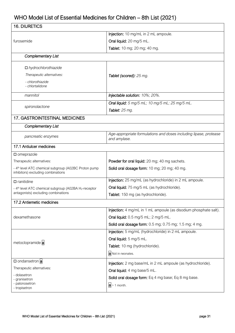| <b>16. DIURETICS</b>                                                                                   |                                                                                   |
|--------------------------------------------------------------------------------------------------------|-----------------------------------------------------------------------------------|
|                                                                                                        | <b>Injection:</b> 10 mg/mL in 2 mL ampoule.                                       |
| furosemide                                                                                             | Oral liquid: 20 mg/5 mL.                                                          |
|                                                                                                        | Tablet: 10 mg; 20 mg; 40 mg.                                                      |
| <b>Complementary List</b>                                                                              |                                                                                   |
| $\Box$ hydrochlorothiazide                                                                             |                                                                                   |
| Therapeutic alternatives:                                                                              | Tablet (scored): 25 mg.                                                           |
| - chlorothiazide<br>- chlortalidone                                                                    |                                                                                   |
| mannitol                                                                                               | Injectable solution: 10%; 20%.                                                    |
|                                                                                                        | Oral liquid: 5 mg/5 mL; 10 mg/5 mL; 25 mg/5 mL.                                   |
| spironolactone                                                                                         | <b>Tablet:</b> 25 mg.                                                             |
| <b>17. GASTROINTESTINAL MEDICINES</b>                                                                  |                                                                                   |
| <b>Complementary List</b>                                                                              |                                                                                   |
| pancreatic enzymes                                                                                     | Age-appropriate formulations and doses including lipase, protease<br>and amylase. |
| 17.1 Antiulcer medicines                                                                               |                                                                                   |
| $\square$ omeprazole                                                                                   |                                                                                   |
| Therapeutic alternatives:                                                                              | Powder for oral liquid: 20 mg; 40 mg sachets.                                     |
| - 4 <sup>th</sup> level ATC chemical subgroup (A02BC Proton pump<br>inhibitors) excluding combinations | Solid oral dosage form: 10 mg; 20 mg; 40 mg.                                      |
| $\Box$ ranitidine                                                                                      | Injection: 25 mg/mL (as hydrochloride) in 2 mL ampoule.                           |
| - 4 <sup>th</sup> level ATC chemical subgroup (A02BA H <sub>2</sub> -receptor                          | Oral liquid: 75 mg/5 mL (as hydrochloride).                                       |
| antagonists) excluding combinations                                                                    | Tablet: 150 mg (as hydrochloride).                                                |
| 17.2 Antiemetic medicines                                                                              |                                                                                   |
|                                                                                                        | Injection: 4 mg/mL in 1 mL ampoule (as disodium phosphate salt).                  |
| dexamethasone                                                                                          | Oral liquid: 0.5 mg/5 mL; 2 mg/5 mL.                                              |
|                                                                                                        | Solid oral dosage form: 0.5 mg; 0.75 mg; 1.5 mg; 4 mg.                            |
|                                                                                                        | Injection: 5 mg/mL (hydrochloride) in 2 mL ampoule.                               |
| metoclopramide a                                                                                       | Oral liquid: 5 mg/5 mL.                                                           |
|                                                                                                        | Tablet: 10 mg (hydrochloride).                                                    |
|                                                                                                        | a Not in neonates.                                                                |
| □ ondansetron a                                                                                        | Injection: 2 mg base/mL in 2 mL ampoule (as hydrochloride).                       |
| Therapeutic alternatives:                                                                              | Oral liquid: 4 mg base/5 mL.                                                      |
| - dolasetron                                                                                           | Solid oral dosage form: Eq 4 mg base; Eq 8 mg base.                               |
| - granisetron<br>- palonosetron                                                                        | $a > 1$ month.                                                                    |
| - tropisetron                                                                                          |                                                                                   |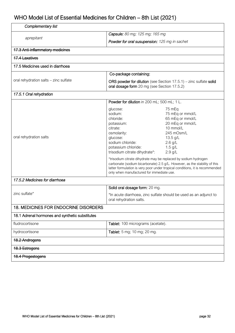| Complementary list                                                          |                                                                                                                                                                                                                                                                                                                                                                                                                                                                                                                                                       |  |
|-----------------------------------------------------------------------------|-------------------------------------------------------------------------------------------------------------------------------------------------------------------------------------------------------------------------------------------------------------------------------------------------------------------------------------------------------------------------------------------------------------------------------------------------------------------------------------------------------------------------------------------------------|--|
| aprepitant                                                                  | Capsule: 80 mg; 125 mg; 165 mg                                                                                                                                                                                                                                                                                                                                                                                                                                                                                                                        |  |
|                                                                             | <b>Powder for oral susupension:</b> 125 mg in sachet                                                                                                                                                                                                                                                                                                                                                                                                                                                                                                  |  |
| <b>17.3 Anti-inflammatory medicines</b>                                     |                                                                                                                                                                                                                                                                                                                                                                                                                                                                                                                                                       |  |
| <b>17.4 Laxatives</b>                                                       |                                                                                                                                                                                                                                                                                                                                                                                                                                                                                                                                                       |  |
| 17.5 Medicines used in diarrhoea                                            |                                                                                                                                                                                                                                                                                                                                                                                                                                                                                                                                                       |  |
|                                                                             | Co-package containing:                                                                                                                                                                                                                                                                                                                                                                                                                                                                                                                                |  |
| oral rehydration salts - zinc sulfate                                       | ORS powder for dilution (see Section $17.5.1$ ) – zinc sulfate solid<br>oral dosage form 20 mg (see Section 17.5.2)                                                                                                                                                                                                                                                                                                                                                                                                                                   |  |
| 17.5.1 Oral rehydration                                                     |                                                                                                                                                                                                                                                                                                                                                                                                                                                                                                                                                       |  |
|                                                                             | Powder for dilution in 200 mL; 500 mL; 1 L.                                                                                                                                                                                                                                                                                                                                                                                                                                                                                                           |  |
| oral rehydration salts                                                      | glucose:<br>75 mEq<br>sodium:<br>75 mEq or mmol/L<br>chloride:<br>65 mEq or mmol/L<br>20 mEq or mmol/L<br>potassium:<br>10 mmol/L<br>citrate:<br>245 mOsm/L<br>osmolarity:<br>13.5 g/L<br>glucose:<br>sodium chloride:<br>$2.6$ g/L<br>potassium chloride:<br>$1.5$ g/L<br>$2.9$ g/L<br>trisodium citrate dihydrate*:<br>*trisodium citrate dihydrate may be replaced by sodium hydrogen<br>carbonate (sodium bicarbonate) 2.5 g/L. However, as the stability of this<br>latter formulation is very poor under tropical conditions, it is recommended |  |
| only when manufactured for immediate use.<br>17.5.2 Medicines for diarrhoea |                                                                                                                                                                                                                                                                                                                                                                                                                                                                                                                                                       |  |
|                                                                             | Solid oral dosage form: 20 mg.                                                                                                                                                                                                                                                                                                                                                                                                                                                                                                                        |  |
| zinc sulfate*                                                               | *In acute diarrhoea, zinc sulfate should be used as an adjunct to<br>oral rehydration salts.                                                                                                                                                                                                                                                                                                                                                                                                                                                          |  |
| <b>18. MEDICINES FOR ENDOCRINE DISORDERS</b>                                |                                                                                                                                                                                                                                                                                                                                                                                                                                                                                                                                                       |  |
| 18.1 Adrenal hormones and synthetic substitutes                             |                                                                                                                                                                                                                                                                                                                                                                                                                                                                                                                                                       |  |
| fludrocortisone                                                             | Tablet: 100 micrograms (acetate).                                                                                                                                                                                                                                                                                                                                                                                                                                                                                                                     |  |
| hydrocortisone                                                              | Tablet: 5 mg; 10 mg; 20 mg.                                                                                                                                                                                                                                                                                                                                                                                                                                                                                                                           |  |
| 18.2 Androgens                                                              |                                                                                                                                                                                                                                                                                                                                                                                                                                                                                                                                                       |  |
| 18.3 Estrogens                                                              |                                                                                                                                                                                                                                                                                                                                                                                                                                                                                                                                                       |  |
| 18.4 Progestogens                                                           |                                                                                                                                                                                                                                                                                                                                                                                                                                                                                                                                                       |  |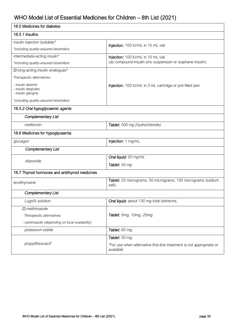| 18.5 Medicines for diabetes                                   |                                                                                   |  |
|---------------------------------------------------------------|-----------------------------------------------------------------------------------|--|
| 18.5.1 Insulins                                               |                                                                                   |  |
| insulin injection (soluble)*                                  | Injection: 100 IU/mL in 10 mL vial.                                               |  |
| *including quality-assured biosimilars                        |                                                                                   |  |
| intermediate-acting insulin*                                  | Injection: 100 IU/mL in 10 mL vial                                                |  |
| *including quality-assured biosimilars                        | (as compound insulin zinc suspension or isophane insulin).                        |  |
| □ long-acting insulin analogues*                              |                                                                                   |  |
| Therapeutic alternatives:                                     |                                                                                   |  |
| - insulin detemir<br>- insulin degludec<br>- insulin glargine | Injection: 100 IU/mL in 3 mL cartridge or pre-filled pen.                         |  |
| *including quality-assured biosimilars                        |                                                                                   |  |
| 18.5.2 Oral hypoglycaemic agents                              |                                                                                   |  |
| <b>Complementary List</b>                                     |                                                                                   |  |
| metformin                                                     | Tablet: 500 mg (hydrochloride).                                                   |  |
| 18.6 Medicines for hypoglycaemia                              |                                                                                   |  |
| glucagon                                                      | Injection: 1 mg/mL.                                                               |  |
| <b>Complementary List</b>                                     |                                                                                   |  |
| diazoxide                                                     | Oral liquid: 50 mg/mL                                                             |  |
|                                                               | Tablet: 50 mg                                                                     |  |
| 18.7 Thyroid hormones and antithyroid medicines               |                                                                                   |  |
| levothyroxine                                                 | Tablet: 25 micrograms; 50 micrograms; 100 micrograms (sodium<br>salt).            |  |
| Complementary List                                            |                                                                                   |  |
| Lugol's solution                                              | Oral liquid: about 130 mg total iodine/mL.                                        |  |
| $\Box$ methimazole                                            |                                                                                   |  |
| Therapeutic alternatives:                                     | Tablet: 5mg, 10mg, 20mg.                                                          |  |
| - carbimazole (depending on local availability)               |                                                                                   |  |
| potassium iodide                                              | Tablet: 60 mg.                                                                    |  |
|                                                               | Tablet: 50 mg.                                                                    |  |
| propylthiouracil*                                             | *For use when alternative first-line treatment is not appropriate or<br>available |  |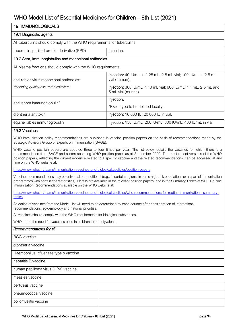| 19. IMMUNOLOGICALS                                                                                                                                                                                                                                                                                                                                                                                                                   |                                                                                                                              |  |
|--------------------------------------------------------------------------------------------------------------------------------------------------------------------------------------------------------------------------------------------------------------------------------------------------------------------------------------------------------------------------------------------------------------------------------------|------------------------------------------------------------------------------------------------------------------------------|--|
| 19.1 Diagnostic agents                                                                                                                                                                                                                                                                                                                                                                                                               |                                                                                                                              |  |
| All tuberculins should comply with the WHO requirements for tuberculins.                                                                                                                                                                                                                                                                                                                                                             |                                                                                                                              |  |
| tuberculin, purified protein derivative (PPD)                                                                                                                                                                                                                                                                                                                                                                                        | Injection.                                                                                                                   |  |
| 19.2 Sera, immunoglobulins and monoclonal antibodies                                                                                                                                                                                                                                                                                                                                                                                 |                                                                                                                              |  |
| All plasma fractions should comply with the WHO requirements.                                                                                                                                                                                                                                                                                                                                                                        |                                                                                                                              |  |
| anti-rabies virus monoclonal antibodies*                                                                                                                                                                                                                                                                                                                                                                                             | Injection: 40 IU/mL in 1.25 mL, 2.5 mL vial; 100 IU/mL in 2.5 mL<br>vial (human).                                            |  |
| *including quality-assured biosimilars                                                                                                                                                                                                                                                                                                                                                                                               | Injection: 300 IU/mL in 10 mL vial; 600 IU/mL in 1 mL, 2.5 mL and<br>5 mL vial (murine).                                     |  |
| antivenom immunoglobulin*                                                                                                                                                                                                                                                                                                                                                                                                            | Injection.                                                                                                                   |  |
|                                                                                                                                                                                                                                                                                                                                                                                                                                      | *Exact type to be defined locally.                                                                                           |  |
| diphtheria antitoxin                                                                                                                                                                                                                                                                                                                                                                                                                 | Injection: 10 000 IU; 20 000 IU in vial.                                                                                     |  |
| equine rabies immunoglobulin                                                                                                                                                                                                                                                                                                                                                                                                         | Injection: 150 IU/mL; 200 IU/mL; 300 IU/mL; 400 IU/mL in vial                                                                |  |
| 19.3 Vaccines                                                                                                                                                                                                                                                                                                                                                                                                                        |                                                                                                                              |  |
| Strategic Advisory Group of Experts on Immunization (SAGE).                                                                                                                                                                                                                                                                                                                                                                          | WHO immunization policy recommendations are published in vaccine position papers on the basis of recommendations made by the |  |
| WHO vaccine position papers are updated three to four times per year. The list below details the vaccines for which there is a<br>recommendation from SAGE and a corresponding WHO position paper as at September 2020. The most recent versions of the WHO<br>position papers, reflecting the current evidence related to a specific vaccine and the related recommendations, can be accessed at any<br>time on the WHO website at: |                                                                                                                              |  |
| https://www.who.int/teams/immunization-vaccines-and-biologicals/policies/position-papers                                                                                                                                                                                                                                                                                                                                             |                                                                                                                              |  |
| Vaccine recommendations may be universal or conditional (e.g., in certain regions, in some high-risk populations or as part of immunization<br>programmes with certain characteristics). Details are available in the relevant position papers, and in the Summary Tables of WHO Routine<br>Immunization Recommendations available on the WHO website at:                                                                            |                                                                                                                              |  |
| https://www.who.int/teams/immunization-vaccines-and-biologicals/policies/who-recommendations-for-routine-immunization---summary-<br>tables                                                                                                                                                                                                                                                                                           |                                                                                                                              |  |
| Selection of vaccines from the Model List will need to be determined by each country after consideration of international<br>recommendations, epidemiology and national priorities.                                                                                                                                                                                                                                                  |                                                                                                                              |  |
| All vaccines should comply with the WHO requirements for biological substances.                                                                                                                                                                                                                                                                                                                                                      |                                                                                                                              |  |
| WHO noted the need for vaccines used in children to be polyvalent.                                                                                                                                                                                                                                                                                                                                                                   |                                                                                                                              |  |
| Recommendations for all                                                                                                                                                                                                                                                                                                                                                                                                              |                                                                                                                              |  |
| <b>BCG</b> vaccine                                                                                                                                                                                                                                                                                                                                                                                                                   |                                                                                                                              |  |
| diphtheria vaccine                                                                                                                                                                                                                                                                                                                                                                                                                   |                                                                                                                              |  |
| Haemophilus influenzae type b vaccine                                                                                                                                                                                                                                                                                                                                                                                                |                                                                                                                              |  |
| hepatitis B vaccine                                                                                                                                                                                                                                                                                                                                                                                                                  |                                                                                                                              |  |
| human papilloma virus (HPV) vaccine                                                                                                                                                                                                                                                                                                                                                                                                  |                                                                                                                              |  |
| measles vaccine                                                                                                                                                                                                                                                                                                                                                                                                                      |                                                                                                                              |  |
| pertussis vaccine                                                                                                                                                                                                                                                                                                                                                                                                                    |                                                                                                                              |  |
| pneumococcal vaccine                                                                                                                                                                                                                                                                                                                                                                                                                 |                                                                                                                              |  |
| poliomyelitis vaccine                                                                                                                                                                                                                                                                                                                                                                                                                |                                                                                                                              |  |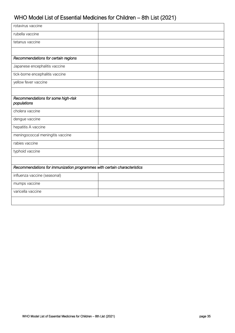| rotavirus vaccine                                                        |  |
|--------------------------------------------------------------------------|--|
| rubella vaccine                                                          |  |
| tetanus vaccine                                                          |  |
|                                                                          |  |
| Recommendations for certain regions                                      |  |
| Japanese encephalitis vaccine                                            |  |
| tick-borne encephalitis vaccine                                          |  |
| yellow fever vaccine                                                     |  |
|                                                                          |  |
| Recommendations for some high-risk<br>populations                        |  |
| cholera vaccine                                                          |  |
| dengue vaccine                                                           |  |
| hepatitis A vaccine                                                      |  |
| meningococcal meningitis vaccine                                         |  |
| rabies vaccine                                                           |  |
| typhoid vaccine                                                          |  |
|                                                                          |  |
| Recommendations for immunization programmes with certain characteristics |  |
| influenza vaccine (seasonal)                                             |  |
| mumps vaccine                                                            |  |
| varicella vaccine                                                        |  |
|                                                                          |  |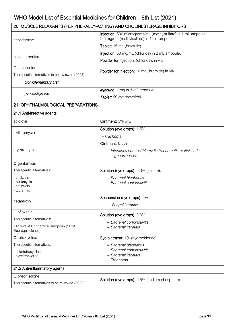|                                                                           | 20. MUSCLE RELAXANTS (PERIPHERALLY-ACTING) AND CHOLINESTERASE INHIBITORS                                    |
|---------------------------------------------------------------------------|-------------------------------------------------------------------------------------------------------------|
| neostigmine                                                               | Injection: 500 micrograms/mL (methylsulfate) in 1 mL ampoule;<br>2.5 mg/mL (methylsulfate) in 1 mL ampoule. |
|                                                                           | Tablet: 15 mg (bromide).                                                                                    |
| suxamethonium                                                             | Injection: 50 mg/mL (chloride) in 2 mL ampoule.                                                             |
|                                                                           | Powder for injection: (chloride), in vial.                                                                  |
| $\square$ vecuronium                                                      | Powder for injection: 10 mg (bromide) in vial.                                                              |
| Therapeutic alternatives to be reviewed (2023)                            |                                                                                                             |
| <b>Complementary List</b>                                                 |                                                                                                             |
|                                                                           | Injection: 1 mg in 1 mL ampoule.                                                                            |
| pyridostigmine                                                            | Tablet: 60 mg (bromide).                                                                                    |
| 21. OPHTHALMOLOGICAL PREPARATIONS                                         |                                                                                                             |
| 21.1 Anti-infective agents                                                |                                                                                                             |
| aciclovir                                                                 | Ointment: 3% w/w.                                                                                           |
|                                                                           | Solution (eye drops): 1.5%                                                                                  |
| azithromycin                                                              | $-$ Trachoma                                                                                                |
|                                                                           | Ointment: 0.5%                                                                                              |
| erythromycin                                                              | - Infections due to Chlamydia trachomatis or Neisseria<br>gonorrhoeae.                                      |
| $\square$ gentamicin                                                      |                                                                                                             |
| Therapeutic alternatives:                                                 | Solution (eye drops): 0.3% (sulfate).                                                                       |
| - amikacin<br>- kanamycin<br>- netilmicin<br>- tobramycin                 | - Bacterial blepharitis<br>- Bacterial conjunctivitis                                                       |
|                                                                           | Suspension (eye drops): 5%                                                                                  |
| natamycin                                                                 | - Fungal keratitis                                                                                          |
| $\square$ ofloxacin                                                       | Solution (eye drops): 0.3%.                                                                                 |
| Therapeutic alternatives:                                                 | - Bacterial conjunctivitis                                                                                  |
| - 4 <sup>th</sup> level ATC chemical subgroup (S01AE<br>Fluoroquinolones) | - Bacterial keratitis                                                                                       |
| $\square$ tetracycline                                                    | Eye ointment: 1% (hydrochloride).                                                                           |
| Therapeutic alternatives:                                                 | - Bacterial blepharitis                                                                                     |
| - chlortetracycline<br>- oxytetracycline                                  | - Bacterial conjunctivitis<br>- Bacterial keratitis<br>- Trachoma                                           |
| 21.2 Anti-inflammatory agents                                             |                                                                                                             |
| $\square$ prednisolone                                                    | <b>Solution (eye drops):</b> 0.5% (sodium phosphate).                                                       |
| Therapeutic alternatives to be reviewed (2023)                            |                                                                                                             |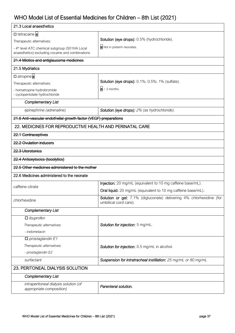| 21.3 Local anaesthetics                                                                                        |                                                                                               |
|----------------------------------------------------------------------------------------------------------------|-----------------------------------------------------------------------------------------------|
| □ tetracaine a                                                                                                 |                                                                                               |
| Therapeutic alternatives:                                                                                      | Solution (eye drops): 0.5% (hydrochloride).                                                   |
| - 4 <sup>th</sup> level ATC chemical subgroup (S01HA Local<br>anaesthetics) excluding cocaine and combinations | a Not in preterm neonates.                                                                    |
| 21.4 Miotics and antiglaucoma medicines                                                                        |                                                                                               |
| 21.5 Mydriatics                                                                                                |                                                                                               |
| □ atropinea                                                                                                    |                                                                                               |
| Therapeutic alternatives:                                                                                      | <b>Solution (eye drops):</b> 0.1%; 0.5%; 1% (sulfate).                                        |
| - homatropine hydrobromide<br>- cyclopentolate hydrochloride                                                   | $a > 3$ months.                                                                               |
| <b>Complementary List</b>                                                                                      |                                                                                               |
| epinephrine (adrenaline)                                                                                       | <b>Solution (eye drops):</b> 2% (as hydrochloride).                                           |
| 21.6 Anti-vascular endothelial growth factor (VEGF) preparations                                               |                                                                                               |
| 22. MEDICINES FOR REPRODUCTIVE HEALTH AND PERINATAL CARE                                                       |                                                                                               |
| 22.1 Contraceptives                                                                                            |                                                                                               |
| 22.2 Ovulation inducers                                                                                        |                                                                                               |
| 22.3 Uterotonics                                                                                               |                                                                                               |
| 22.4 Antioxytocics (tocolytics)                                                                                |                                                                                               |
| 22.5 Other medicines administered to the mother                                                                |                                                                                               |
| 22.6 Medicines administered to the neonate                                                                     |                                                                                               |
|                                                                                                                | Injection: 20 mg/mL (equivalent to 10 mg caffeine base/mL).                                   |
| caffeine citrate                                                                                               | Oral liquid: 20 mg/mL (equivalent to 10 mg caffeine base/mL).                                 |
| chlorhexidine                                                                                                  | Solution or gel: 7.1% (digluconate) delivering 4% chlorhexidine (for<br>umbilical cord care). |
| <b>Complementary List</b>                                                                                      |                                                                                               |
| $\Box$ ibuprofen                                                                                               |                                                                                               |
| Therapeutic alternatives:                                                                                      | Solution for injection: 5 mg/mL.                                                              |
| - indometacin                                                                                                  |                                                                                               |
| $\Box$ prostaglandin E1                                                                                        |                                                                                               |
| Therapeutic alternatives:                                                                                      | Solution for injection: 0.5 mg/mL in alcohol.                                                 |
| - prostaglandin E2                                                                                             |                                                                                               |
| surfactant                                                                                                     | Suspension for intratracheal instillation: 25 mg/mL or 80 mg/mL                               |
| 23. PERITONEAL DIALYSIS SOLUTION                                                                               |                                                                                               |
| <b>Complementary List</b>                                                                                      |                                                                                               |
| intraperitoneal dialysis solution (of<br>appropriate composition)                                              | Parenteral solution.                                                                          |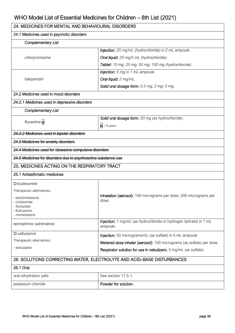| 24. MEDICINES FOR MENTAL AND BEHAVIOURAL DISORDERS                                                                                      |                                                                                |  |
|-----------------------------------------------------------------------------------------------------------------------------------------|--------------------------------------------------------------------------------|--|
| 24.1 Medicines used in psychotic disorders                                                                                              |                                                                                |  |
| <b>Complementary List</b>                                                                                                               |                                                                                |  |
|                                                                                                                                         | Injection: 25 mg/mL (hydrochloride) in 2 mL ampoule.                           |  |
| chlorpromazine                                                                                                                          | Oral liquid: 25 mg/5 mL (hydrochloride).                                       |  |
|                                                                                                                                         | Tablet: 10 mg; 25 mg; 50 mg; 100 mg (hydrochloride).                           |  |
|                                                                                                                                         | <b>Injection:</b> 5 mg in 1 mL ampoule.                                        |  |
| haloperidol                                                                                                                             | Oral liquid: 2 mg/mL.                                                          |  |
|                                                                                                                                         | Solid oral dosage form: 0.5 mg; 2 mg; 5 mg.                                    |  |
| 24.2 Medicines used in mood disorders                                                                                                   |                                                                                |  |
| 24.2.1 Medicines used in depressive disorders                                                                                           |                                                                                |  |
| <b>Complementary List</b>                                                                                                               |                                                                                |  |
|                                                                                                                                         | Solid oral dosage form: 20 mg (as hydrochloride).                              |  |
| fluoxetine a                                                                                                                            | $a$ > 8 years.                                                                 |  |
| 24.2.2 Medicines used in bipolar disorders                                                                                              |                                                                                |  |
| 24.3 Medicines for anxiety disorders                                                                                                    |                                                                                |  |
| 24.4 Medicines used for obsessive compulsive disorders                                                                                  |                                                                                |  |
| 24.5 Medicines for disorders due to psychoactive substance use                                                                          |                                                                                |  |
| 25. MEDICINES ACTING ON THE RESPIRATORY TRACT                                                                                           |                                                                                |  |
| 25.1 Antiasthmatic medicines                                                                                                            |                                                                                |  |
| $\square$ budesonide<br>Therapeutic alternatives:<br>- beclometasone<br>- ciclesonide<br>- flunisolide<br>- fluticasone<br>- mometasone | Inhalation (aerosol): 100 micrograms per dose; 200 micrograms per<br>dose.     |  |
| epinephrine (adrenaline)                                                                                                                | Injection: 1 mg/mL (as hydrochloride or hydrogen tartrate) in 1 mL<br>ampoule. |  |
| $\square$ salbutamol                                                                                                                    | Injection: 50 micrograms/mL (as sulfate) in 5 mL ampoule.                      |  |
| Therapeutic alternatives:                                                                                                               | Metered dose inhaler (aerosol): 100 micrograms (as sulfate) per dose.          |  |
| - terbutaline                                                                                                                           | Respirator solution for use in nebulizers: 5 mg/mL (as sulfate).               |  |
| 26. SOLUTIONS CORRECTING WATER, ELECTROLYTE AND ACID-BASE DISTURBANCES                                                                  |                                                                                |  |
| 26.1 Oral                                                                                                                               |                                                                                |  |
| oral rehydration salts                                                                                                                  | See section 17.5.1.                                                            |  |
| potassium chloride                                                                                                                      | Powder for solution.                                                           |  |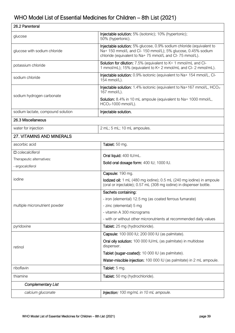| 26.2 Parenteral                   |                                                                                                                                                                                                 |
|-----------------------------------|-------------------------------------------------------------------------------------------------------------------------------------------------------------------------------------------------|
| glucose                           | Injectable solution: 5% (isotonic); 10% (hypertonic);<br>50% (hypertonic).                                                                                                                      |
| glucose with sodium chloride      | Injectable solution: 5% glucose, 0.9% sodium chloride (equivalent to<br>Na+ 150 mmol/L and Cl- 150 mmol/L); 5% glucose, 0.45% sodium<br>chloride (equivalent to Na+75 mmol/L and Cl-75 mmol/L). |
| potassium chloride                | Solution for dilution: 7.5% (equivalent to K+ 1 mmol/mL and Cl-<br>1 mmol/mL); 15% (equivalent to K+2 mmol/mL and Cl-2 mmol/mL).                                                                |
| sodium chloride                   | Injectable solution: 0.9% isotonic (equivalent to Na+ 154 mmol/L, CI-<br>154 mmol/L).                                                                                                           |
|                                   | Injectable solution: 1.4% isotonic (equivalent to Na+167 mmol/L, HCO <sub>3</sub> -<br>167 mmol/L).                                                                                             |
| sodium hydrogen carbonate         | Solution: 8.4% in 10 mL ampoule (equivalent to Na+ 1000 mmol/L,<br>$HCO3$ -1000 mmol/L).                                                                                                        |
| sodium lactate, compound solution | Injectable solution.                                                                                                                                                                            |
| 26.3 Miscellaneous                |                                                                                                                                                                                                 |
| water for injection               | 2 mL; 5 mL; 10 mL ampoules.                                                                                                                                                                     |
| 27. VITAMINS AND MINERALS         |                                                                                                                                                                                                 |
| ascorbic acid                     | Tablet: 50 mg.                                                                                                                                                                                  |
| $\square$ colecalciferol          |                                                                                                                                                                                                 |
| Therapeutic alternatives:         | Oral liquid: 400 IU/mL.                                                                                                                                                                         |
| - ergocalciferol                  | Solid oral dosage form: 400 IU; 1000 IU.                                                                                                                                                        |
|                                   | Capsule: 190 mg.                                                                                                                                                                                |
| iodine                            | lodized oil: 1 mL (480 mg iodine); 0.5 mL (240 mg iodine) in ampoule<br>(oral or injectable); 0.57 mL (308 mg iodine) in dispenser bottle.                                                      |
|                                   | Sachets containing:                                                                                                                                                                             |
|                                   | - iron (elemental) 12.5 mg (as coated ferrous fumarate)                                                                                                                                         |
| multiple micronutrient powder     | - zinc (elemental) 5 mg                                                                                                                                                                         |
|                                   | - vitamin A 300 micrograms                                                                                                                                                                      |
|                                   | - with or without other micronutrients at recommended daily values                                                                                                                              |
| pyridoxine                        | Tablet: 25 mg (hydrochloride).                                                                                                                                                                  |
|                                   | Capsule: 100 000 IU; 200 000 IU (as palmitate).                                                                                                                                                 |
| retinol                           | Oral oily solution: 100 000 IU/mL (as palmitate) in multidose<br>dispenser.                                                                                                                     |
|                                   | Tablet (sugar-coated): 10 000 IU (as palmitate).                                                                                                                                                |
|                                   | Water-miscible injection: 100 000 IU (as palmitate) in 2 mL ampoule.                                                                                                                            |
| riboflavin                        | Tablet: 5 mg.                                                                                                                                                                                   |
| thiamine                          | Tablet: 50 mg (hydrochloride).                                                                                                                                                                  |
| Complementary List                |                                                                                                                                                                                                 |
| calcium gluconate                 | Injection: 100 mg/mL in 10 mL ampoule.                                                                                                                                                          |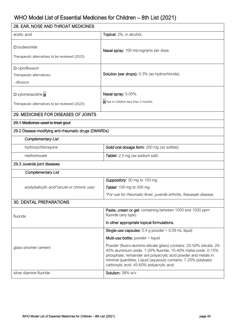| 28. EAR, NOSE AND THROAT MEDICINES                                     |                                                                                                                                                                                                                                                                                                                          |  |
|------------------------------------------------------------------------|--------------------------------------------------------------------------------------------------------------------------------------------------------------------------------------------------------------------------------------------------------------------------------------------------------------------------|--|
| acetic acid                                                            | Topical: 2%, in alcohol.                                                                                                                                                                                                                                                                                                 |  |
| $\square$ budesonide<br>Therapeutic alternatives to be reviewed (2023) | Nasal spray: 100 micrograms per dose.                                                                                                                                                                                                                                                                                    |  |
| $\square$ ciprofloxacin<br>Therapeutic alternatives:<br>- ofloxacin    | Solution (ear drops): 0.3% (as hydrochloride).                                                                                                                                                                                                                                                                           |  |
| □ xylometazoline a<br>Therapeutic alternatives to be reviewed (2023)   | Nasal spray: 0.05%.<br>a Not in children less than 3 months.                                                                                                                                                                                                                                                             |  |
| 29. MEDICINES FOR DISEASES OF JOINTS                                   |                                                                                                                                                                                                                                                                                                                          |  |
| 29.1 Medicines used to treat gout                                      |                                                                                                                                                                                                                                                                                                                          |  |
| 29.2 Disease-modifying anti-rheumatic drugs (DMARDs)                   |                                                                                                                                                                                                                                                                                                                          |  |
| <b>Complementary List</b>                                              |                                                                                                                                                                                                                                                                                                                          |  |
| hydroxychloroquine                                                     | Solid oral dosage form: 200 mg (as sulfate).                                                                                                                                                                                                                                                                             |  |
| methotrexate                                                           | Tablet: 2.5 mg (as sodium salt).                                                                                                                                                                                                                                                                                         |  |
| 29.3 Juvenile joint diseases                                           |                                                                                                                                                                                                                                                                                                                          |  |
| <b>Complementary List</b>                                              |                                                                                                                                                                                                                                                                                                                          |  |
|                                                                        | Suppository: 50 mg to 150 mg.                                                                                                                                                                                                                                                                                            |  |
| acetylsalicylic acid*(acute or chronic use)                            | Tablet: 100 mg to 500 mg.                                                                                                                                                                                                                                                                                                |  |
|                                                                        | *For use for rheumatic fever, juvenile arthritis, Kawasaki disease.                                                                                                                                                                                                                                                      |  |
| <b>30. DENTAL PREPARATIONS</b>                                         |                                                                                                                                                                                                                                                                                                                          |  |
| fluoride                                                               | Paste, cream or gel: containing between 1000 and 1500 ppm<br>fluoride (any type).                                                                                                                                                                                                                                        |  |
|                                                                        | In other appropriate topical formulations.                                                                                                                                                                                                                                                                               |  |
|                                                                        | Single-use capsules: $0.4$ g powder + 0.09 mL liquid                                                                                                                                                                                                                                                                     |  |
|                                                                        | Multi-use bottle: powder + liquid                                                                                                                                                                                                                                                                                        |  |
| glass ionomer cement                                                   | Powder (fluoro-alumino-silicate glass) contains: 25-50% silicate, 20-<br>40% aluminium oxide, 1-20% fluoride, 15-40% metal oxide, 0-15%<br>phosphate, remainder are polyacrylic acid powder and metals in<br>minimal quantities. Liquid (aqueous) contains: 7-25% polybasic<br>carboxylic acid, 45-60% polyacrylic acid. |  |
| silver diamine fluoride                                                | Solution: 38% w/v                                                                                                                                                                                                                                                                                                        |  |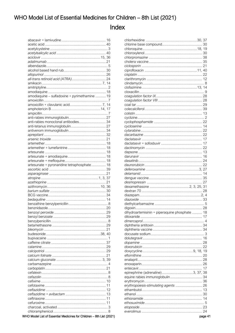### Index

| amodiaquine - sulfadoxine + pyrimethamine  19                        |
|----------------------------------------------------------------------|
|                                                                      |
|                                                                      |
|                                                                      |
|                                                                      |
|                                                                      |
| anti-rabies monoclonal antibodies 34                                 |
|                                                                      |
|                                                                      |
|                                                                      |
|                                                                      |
|                                                                      |
|                                                                      |
|                                                                      |
|                                                                      |
|                                                                      |
| artesunate + pyronaridine tetraphosphate 18                          |
|                                                                      |
|                                                                      |
|                                                                      |
|                                                                      |
|                                                                      |
|                                                                      |
|                                                                      |
|                                                                      |
|                                                                      |
|                                                                      |
|                                                                      |
|                                                                      |
|                                                                      |
|                                                                      |
|                                                                      |
|                                                                      |
|                                                                      |
|                                                                      |
|                                                                      |
|                                                                      |
|                                                                      |
|                                                                      |
|                                                                      |
|                                                                      |
|                                                                      |
|                                                                      |
|                                                                      |
|                                                                      |
|                                                                      |
|                                                                      |
|                                                                      |
|                                                                      |
| WHO Model List of Essential Medicines for Children - 8th List (2021) |

| dihydroartemisinin + piperaquine phosphate  18                                                                                                                                                                                       |  |
|--------------------------------------------------------------------------------------------------------------------------------------------------------------------------------------------------------------------------------------|--|
|                                                                                                                                                                                                                                      |  |
|                                                                                                                                                                                                                                      |  |
|                                                                                                                                                                                                                                      |  |
|                                                                                                                                                                                                                                      |  |
|                                                                                                                                                                                                                                      |  |
|                                                                                                                                                                                                                                      |  |
|                                                                                                                                                                                                                                      |  |
|                                                                                                                                                                                                                                      |  |
|                                                                                                                                                                                                                                      |  |
|                                                                                                                                                                                                                                      |  |
|                                                                                                                                                                                                                                      |  |
|                                                                                                                                                                                                                                      |  |
|                                                                                                                                                                                                                                      |  |
| epinephrine (adrenaline) 3, 37, 38                                                                                                                                                                                                   |  |
|                                                                                                                                                                                                                                      |  |
|                                                                                                                                                                                                                                      |  |
| erythropoiesis-stimulating agents  26                                                                                                                                                                                                |  |
|                                                                                                                                                                                                                                      |  |
|                                                                                                                                                                                                                                      |  |
|                                                                                                                                                                                                                                      |  |
|                                                                                                                                                                                                                                      |  |
|                                                                                                                                                                                                                                      |  |
|                                                                                                                                                                                                                                      |  |
| <u>and the contract of the contract of the contract of the contract of the contract of the contract of the contract of the contract of the contract of the contract of the contract of the contract of the contract of the contr</u> |  |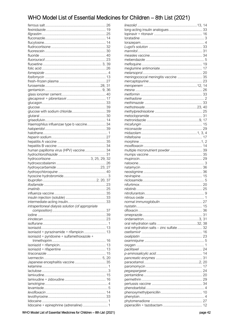| Haemophilus influenzae type b vaccine 34          |   |
|---------------------------------------------------|---|
|                                                   |   |
|                                                   |   |
|                                                   |   |
|                                                   |   |
|                                                   |   |
| human papilloma virus (HPV) vaccine  34           |   |
|                                                   |   |
|                                                   |   |
|                                                   |   |
|                                                   |   |
|                                                   |   |
|                                                   |   |
|                                                   |   |
|                                                   |   |
|                                                   |   |
|                                                   |   |
|                                                   |   |
|                                                   |   |
|                                                   |   |
| intraperitoneal dialysis solution (of appropriate |   |
|                                                   |   |
|                                                   |   |
|                                                   |   |
|                                                   |   |
|                                                   |   |
| isoniazid + pyrazinamide + rifampicin  13         |   |
| isoniazid + pyridoxine + sulfamethoxazole +       |   |
|                                                   |   |
|                                                   |   |
|                                                   |   |
|                                                   |   |
|                                                   |   |
|                                                   |   |
|                                                   |   |
|                                                   |   |
|                                                   |   |
|                                                   | 4 |
|                                                   |   |
|                                                   |   |
|                                                   |   |
| lidocaine + epinephrine (adrenaline)  1           |   |

| meningococcal meningitis vaccine  35      |  |
|-------------------------------------------|--|
|                                           |  |
|                                           |  |
|                                           |  |
|                                           |  |
|                                           |  |
|                                           |  |
|                                           |  |
|                                           |  |
|                                           |  |
|                                           |  |
|                                           |  |
|                                           |  |
|                                           |  |
|                                           |  |
|                                           |  |
|                                           |  |
| multiple micronutrient powder  39         |  |
|                                           |  |
|                                           |  |
|                                           |  |
|                                           |  |
|                                           |  |
|                                           |  |
|                                           |  |
|                                           |  |
|                                           |  |
|                                           |  |
|                                           |  |
|                                           |  |
|                                           |  |
|                                           |  |
|                                           |  |
|                                           |  |
|                                           |  |
| oral rehydration salts - zinc sulfate  32 |  |
|                                           |  |
|                                           |  |
|                                           |  |
|                                           |  |
|                                           |  |
|                                           |  |
|                                           |  |
|                                           |  |
|                                           |  |
|                                           |  |
|                                           |  |
|                                           |  |
|                                           |  |
|                                           |  |
|                                           |  |
|                                           |  |
|                                           |  |
|                                           |  |